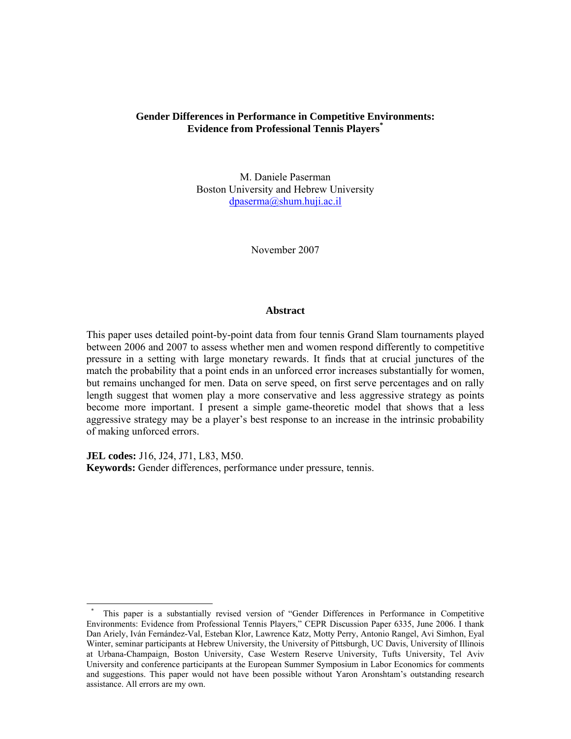## **Gender Differences in Performance in Competitive Environments: Evidence from Professional Tennis Players\***

M. Daniele Paserman Boston University and Hebrew University dpaserma@shum.huji.ac.il

November 2007

#### **Abstract**

This paper uses detailed point-by-point data from four tennis Grand Slam tournaments played between 2006 and 2007 to assess whether men and women respond differently to competitive pressure in a setting with large monetary rewards. It finds that at crucial junctures of the match the probability that a point ends in an unforced error increases substantially for women, but remains unchanged for men. Data on serve speed, on first serve percentages and on rally length suggest that women play a more conservative and less aggressive strategy as points become more important. I present a simple game-theoretic model that shows that a less aggressive strategy may be a player's best response to an increase in the intrinsic probability of making unforced errors.

**JEL codes:** J16, J24, J71, L83, M50.

 $\overline{a}$ 

**Keywords:** Gender differences, performance under pressure, tennis.

This paper is a substantially revised version of "Gender Differences in Performance in Competitive Environments: Evidence from Professional Tennis Players," CEPR Discussion Paper 6335, June 2006. I thank Dan Ariely, Iván Fernández-Val, Esteban Klor, Lawrence Katz, Motty Perry, Antonio Rangel, Avi Simhon, Eyal Winter, seminar participants at Hebrew University, the University of Pittsburgh, UC Davis, University of Illinois at Urbana-Champaign, Boston University, Case Western Reserve University, Tufts University, Tel Aviv University and conference participants at the European Summer Symposium in Labor Economics for comments and suggestions. This paper would not have been possible without Yaron Aronshtam's outstanding research assistance. All errors are my own.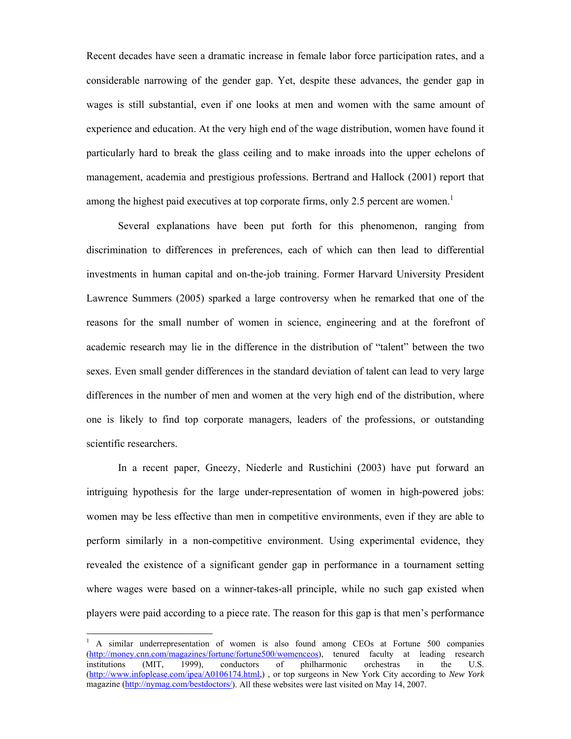Recent decades have seen a dramatic increase in female labor force participation rates, and a considerable narrowing of the gender gap. Yet, despite these advances, the gender gap in wages is still substantial, even if one looks at men and women with the same amount of experience and education. At the very high end of the wage distribution, women have found it particularly hard to break the glass ceiling and to make inroads into the upper echelons of management, academia and prestigious professions. Bertrand and Hallock (2001) report that among the highest paid executives at top corporate firms, only 2.5 percent are women.<sup>1</sup>

 Several explanations have been put forth for this phenomenon, ranging from discrimination to differences in preferences, each of which can then lead to differential investments in human capital and on-the-job training. Former Harvard University President Lawrence Summers (2005) sparked a large controversy when he remarked that one of the reasons for the small number of women in science, engineering and at the forefront of academic research may lie in the difference in the distribution of "talent" between the two sexes. Even small gender differences in the standard deviation of talent can lead to very large differences in the number of men and women at the very high end of the distribution, where one is likely to find top corporate managers, leaders of the professions, or outstanding scientific researchers.

 In a recent paper, Gneezy, Niederle and Rustichini (2003) have put forward an intriguing hypothesis for the large under-representation of women in high-powered jobs: women may be less effective than men in competitive environments, even if they are able to perform similarly in a non-competitive environment. Using experimental evidence, they revealed the existence of a significant gender gap in performance in a tournament setting where wages were based on a winner-takes-all principle, while no such gap existed when players were paid according to a piece rate. The reason for this gap is that men's performance

 $\overline{a}$ 

<sup>&</sup>lt;sup>1</sup> A similar underrepresentation of women is also found among CEOs at Fortune 500 companies (http://money.cnn.com/magazines/fortune/fortune500/womenceos), tenured faculty at leading research institutions (MIT, 1999), conductors of philharmonic orchestras in the U.S. institutions (MIT, 1999), conductors of philharmonic orchestras in the U.S. (http://www.infoplease.com/ipea/A0106174.html,) , or top surgeons in New York City according to *New York*  magazine (http://nymag.com/bestdoctors/). All these websites were last visited on May 14, 2007.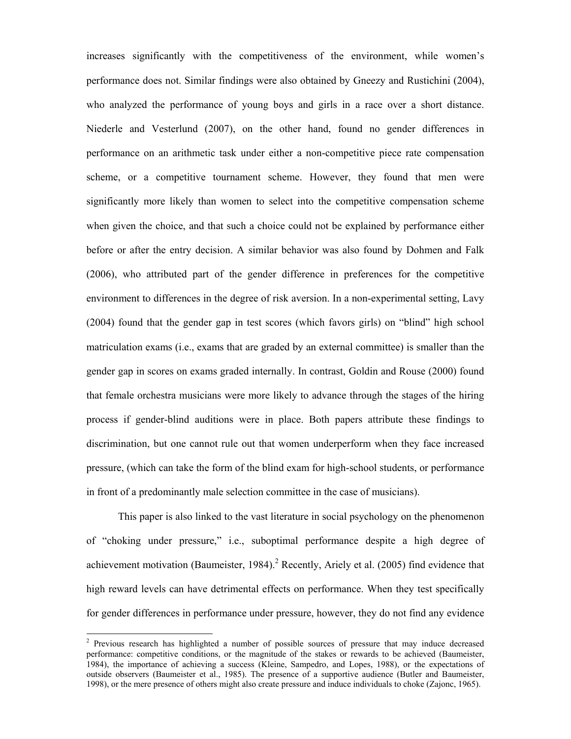increases significantly with the competitiveness of the environment, while women's performance does not. Similar findings were also obtained by Gneezy and Rustichini (2004), who analyzed the performance of young boys and girls in a race over a short distance. Niederle and Vesterlund (2007), on the other hand, found no gender differences in performance on an arithmetic task under either a non-competitive piece rate compensation scheme, or a competitive tournament scheme. However, they found that men were significantly more likely than women to select into the competitive compensation scheme when given the choice, and that such a choice could not be explained by performance either before or after the entry decision. A similar behavior was also found by Dohmen and Falk (2006), who attributed part of the gender difference in preferences for the competitive environment to differences in the degree of risk aversion. In a non-experimental setting, Lavy (2004) found that the gender gap in test scores (which favors girls) on "blind" high school matriculation exams (i.e., exams that are graded by an external committee) is smaller than the gender gap in scores on exams graded internally. In contrast, Goldin and Rouse (2000) found that female orchestra musicians were more likely to advance through the stages of the hiring process if gender-blind auditions were in place. Both papers attribute these findings to discrimination, but one cannot rule out that women underperform when they face increased pressure, (which can take the form of the blind exam for high-school students, or performance in front of a predominantly male selection committee in the case of musicians).

This paper is also linked to the vast literature in social psychology on the phenomenon of "choking under pressure," i.e., suboptimal performance despite a high degree of achievement motivation (Baumeister, 1984).<sup>2</sup> Recently, Ariely et al. (2005) find evidence that high reward levels can have detrimental effects on performance. When they test specifically for gender differences in performance under pressure, however, they do not find any evidence

 $\overline{a}$ 

 $2$  Previous research has highlighted a number of possible sources of pressure that may induce decreased performance: competitive conditions, or the magnitude of the stakes or rewards to be achieved (Baumeister, 1984), the importance of achieving a success (Kleine, Sampedro, and Lopes, 1988), or the expectations of outside observers (Baumeister et al., 1985). The presence of a supportive audience (Butler and Baumeister, 1998), or the mere presence of others might also create pressure and induce individuals to choke (Zajonc, 1965).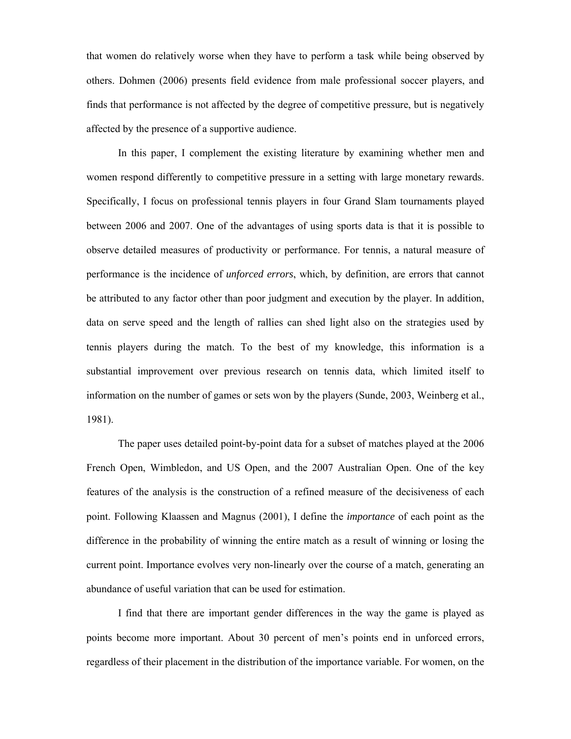that women do relatively worse when they have to perform a task while being observed by others. Dohmen (2006) presents field evidence from male professional soccer players, and finds that performance is not affected by the degree of competitive pressure, but is negatively affected by the presence of a supportive audience.

In this paper, I complement the existing literature by examining whether men and women respond differently to competitive pressure in a setting with large monetary rewards. Specifically, I focus on professional tennis players in four Grand Slam tournaments played between 2006 and 2007. One of the advantages of using sports data is that it is possible to observe detailed measures of productivity or performance. For tennis, a natural measure of performance is the incidence of *unforced errors*, which, by definition, are errors that cannot be attributed to any factor other than poor judgment and execution by the player. In addition, data on serve speed and the length of rallies can shed light also on the strategies used by tennis players during the match. To the best of my knowledge, this information is a substantial improvement over previous research on tennis data, which limited itself to information on the number of games or sets won by the players (Sunde, 2003, Weinberg et al., 1981).

The paper uses detailed point-by-point data for a subset of matches played at the 2006 French Open, Wimbledon, and US Open, and the 2007 Australian Open. One of the key features of the analysis is the construction of a refined measure of the decisiveness of each point. Following Klaassen and Magnus (2001), I define the *importance* of each point as the difference in the probability of winning the entire match as a result of winning or losing the current point. Importance evolves very non-linearly over the course of a match, generating an abundance of useful variation that can be used for estimation.

I find that there are important gender differences in the way the game is played as points become more important. About 30 percent of men's points end in unforced errors, regardless of their placement in the distribution of the importance variable. For women, on the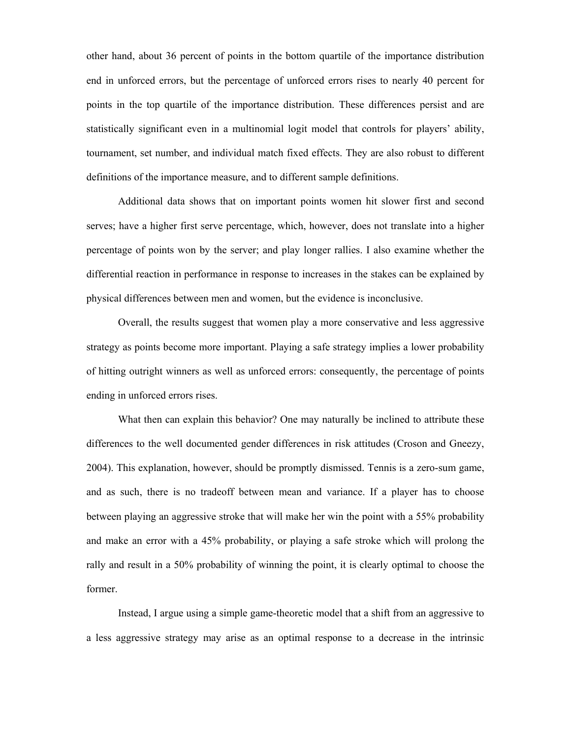other hand, about 36 percent of points in the bottom quartile of the importance distribution end in unforced errors, but the percentage of unforced errors rises to nearly 40 percent for points in the top quartile of the importance distribution. These differences persist and are statistically significant even in a multinomial logit model that controls for players' ability, tournament, set number, and individual match fixed effects. They are also robust to different definitions of the importance measure, and to different sample definitions.

Additional data shows that on important points women hit slower first and second serves; have a higher first serve percentage, which, however, does not translate into a higher percentage of points won by the server; and play longer rallies. I also examine whether the differential reaction in performance in response to increases in the stakes can be explained by physical differences between men and women, but the evidence is inconclusive.

Overall, the results suggest that women play a more conservative and less aggressive strategy as points become more important. Playing a safe strategy implies a lower probability of hitting outright winners as well as unforced errors: consequently, the percentage of points ending in unforced errors rises.

What then can explain this behavior? One may naturally be inclined to attribute these differences to the well documented gender differences in risk attitudes (Croson and Gneezy, 2004). This explanation, however, should be promptly dismissed. Tennis is a zero-sum game, and as such, there is no tradeoff between mean and variance. If a player has to choose between playing an aggressive stroke that will make her win the point with a 55% probability and make an error with a 45% probability, or playing a safe stroke which will prolong the rally and result in a 50% probability of winning the point, it is clearly optimal to choose the former.

Instead, I argue using a simple game-theoretic model that a shift from an aggressive to a less aggressive strategy may arise as an optimal response to a decrease in the intrinsic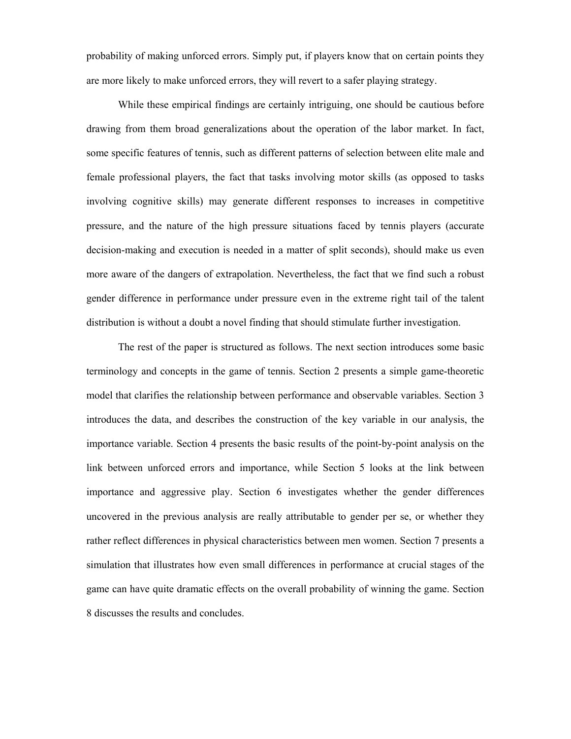probability of making unforced errors. Simply put, if players know that on certain points they are more likely to make unforced errors, they will revert to a safer playing strategy.

While these empirical findings are certainly intriguing, one should be cautious before drawing from them broad generalizations about the operation of the labor market. In fact, some specific features of tennis, such as different patterns of selection between elite male and female professional players, the fact that tasks involving motor skills (as opposed to tasks involving cognitive skills) may generate different responses to increases in competitive pressure, and the nature of the high pressure situations faced by tennis players (accurate decision-making and execution is needed in a matter of split seconds), should make us even more aware of the dangers of extrapolation. Nevertheless, the fact that we find such a robust gender difference in performance under pressure even in the extreme right tail of the talent distribution is without a doubt a novel finding that should stimulate further investigation.

The rest of the paper is structured as follows. The next section introduces some basic terminology and concepts in the game of tennis. Section 2 presents a simple game-theoretic model that clarifies the relationship between performance and observable variables. Section 3 introduces the data, and describes the construction of the key variable in our analysis, the importance variable. Section 4 presents the basic results of the point-by-point analysis on the link between unforced errors and importance, while Section 5 looks at the link between importance and aggressive play. Section 6 investigates whether the gender differences uncovered in the previous analysis are really attributable to gender per se, or whether they rather reflect differences in physical characteristics between men women. Section 7 presents a simulation that illustrates how even small differences in performance at crucial stages of the game can have quite dramatic effects on the overall probability of winning the game. Section 8 discusses the results and concludes.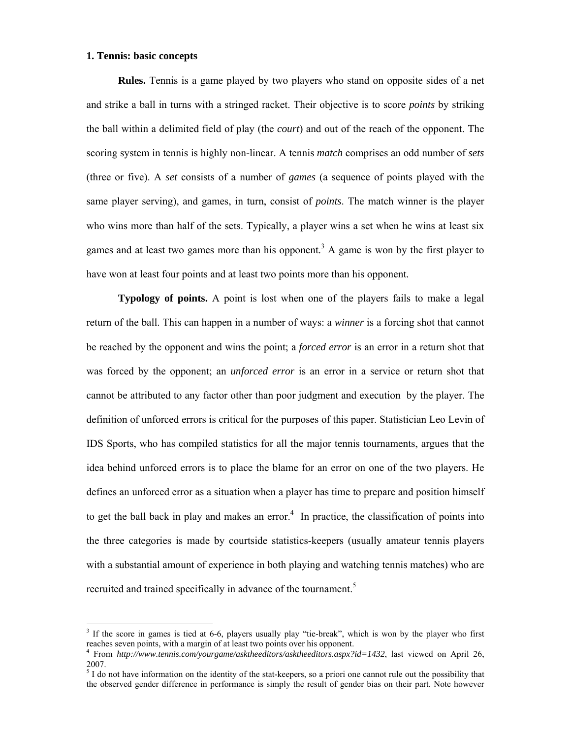## **1. Tennis: basic concepts**

 $\overline{a}$ 

**Rules.** Tennis is a game played by two players who stand on opposite sides of a net and strike a ball in turns with a stringed racket. Their objective is to score *points* by striking the ball within a delimited field of play (the *court*) and out of the reach of the opponent. The scoring system in tennis is highly non-linear. A tennis *match* comprises an odd number of *sets* (three or five). A *set* consists of a number of *games* (a sequence of points played with the same player serving), and games, in turn, consist of *points*. The match winner is the player who wins more than half of the sets. Typically, a player wins a set when he wins at least six games and at least two games more than his opponent.<sup>3</sup> A game is won by the first player to have won at least four points and at least two points more than his opponent.

**Typology of points.** A point is lost when one of the players fails to make a legal return of the ball. This can happen in a number of ways: a *winner* is a forcing shot that cannot be reached by the opponent and wins the point; a *forced error* is an error in a return shot that was forced by the opponent; an *unforced error* is an error in a service or return shot that cannot be attributed to any factor other than poor judgment and execution by the player. The definition of unforced errors is critical for the purposes of this paper. Statistician Leo Levin of IDS Sports, who has compiled statistics for all the major tennis tournaments, argues that the idea behind unforced errors is to place the blame for an error on one of the two players. He defines an unforced error as a situation when a player has time to prepare and position himself to get the ball back in play and makes an error.<sup>4</sup> In practice, the classification of points into the three categories is made by courtside statistics-keepers (usually amateur tennis players with a substantial amount of experience in both playing and watching tennis matches) who are recruited and trained specifically in advance of the tournament.<sup>5</sup>

 $3$  If the score in games is tied at 6-6, players usually play "tie-break", which is won by the player who first reaches seven points, with a margin of at least two points over his opponent.

<sup>4</sup> From *http://www.tennis.com/yourgame/asktheeditors/asktheeditors.aspx?id=1432*, last viewed on April 26, 2007.

 $<sup>5</sup>$  I do not have information on the identity of the stat-keepers, so a priori one cannot rule out the possibility that</sup> the observed gender difference in performance is simply the result of gender bias on their part. Note however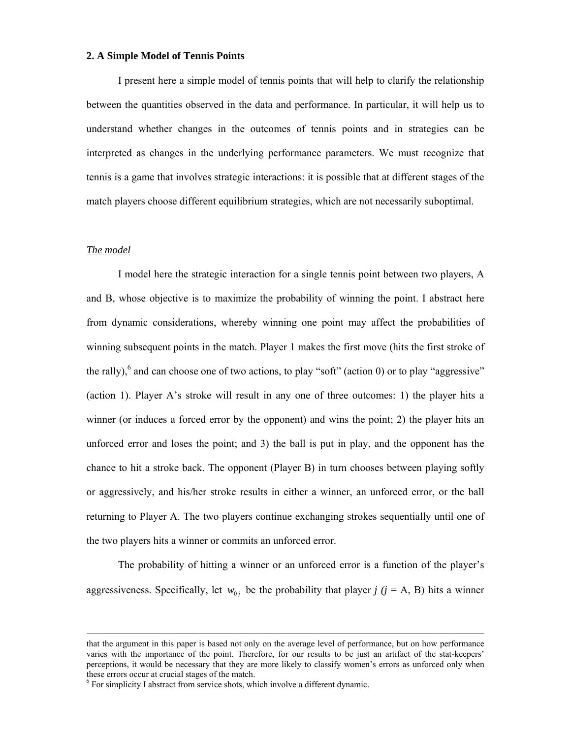## **2. A Simple Model of Tennis Points**

I present here a simple model of tennis points that will help to clarify the relationship between the quantities observed in the data and performance. In particular, it will help us to understand whether changes in the outcomes of tennis points and in strategies can be interpreted as changes in the underlying performance parameters. We must recognize that tennis is a game that involves strategic interactions: it is possible that at different stages of the match players choose different equilibrium strategies, which are not necessarily suboptimal.

#### *The model*

 I model here the strategic interaction for a single tennis point between two players, A and B, whose objective is to maximize the probability of winning the point. I abstract here from dynamic considerations, whereby winning one point may affect the probabilities of winning subsequent points in the match. Player 1 makes the first move (hits the first stroke of the rally),  $\delta$  and can choose one of two actions, to play "soft" (action 0) or to play "aggressive" (action 1). Player A's stroke will result in any one of three outcomes: 1) the player hits a winner (or induces a forced error by the opponent) and wins the point; 2) the player hits an unforced error and loses the point; and 3) the ball is put in play, and the opponent has the chance to hit a stroke back. The opponent (Player B) in turn chooses between playing softly or aggressively, and his/her stroke results in either a winner, an unforced error, or the ball returning to Player A. The two players continue exchanging strokes sequentially until one of the two players hits a winner or commits an unforced error.

 The probability of hitting a winner or an unforced error is a function of the player's aggressiveness. Specifically, let  $w_{0i}$  be the probability that player  $j$  ( $j = A$ , B) hits a winner

that the argument in this paper is based not only on the average level of performance, but on how performance varies with the importance of the point. Therefore, for our results to be just an artifact of the stat-keepers' perceptions, it would be necessary that they are more likely to classify women's errors as unforced only when these errors occur at crucial stages of the match.

<sup>&</sup>lt;sup>6</sup> For simplicity I abstract from service shots, which involve a different dynamic.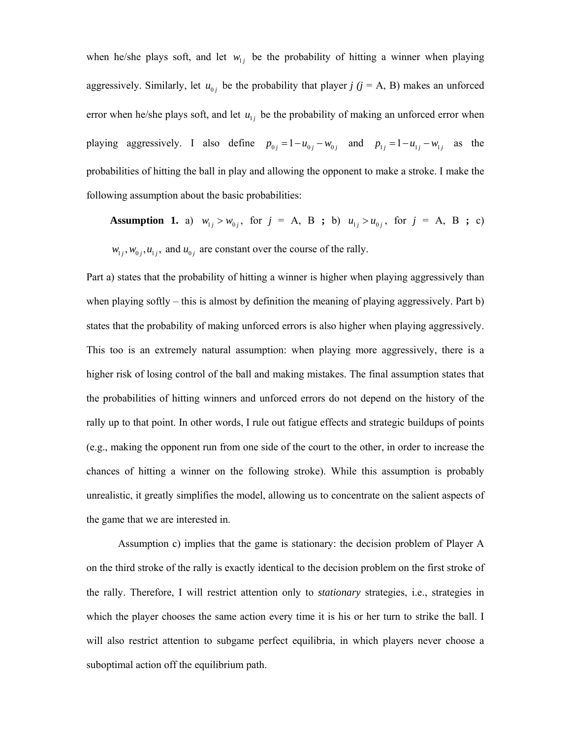when he/she plays soft, and let  $w_{1i}$  be the probability of hitting a winner when playing aggressively. Similarly, let  $u_{0j}$  be the probability that player *j* (*j* = A, B) makes an unforced error when he/she plays soft, and let  $u_{1j}$  be the probability of making an unforced error when playing aggressively. I also define  $p_{0j} = 1 - u_{0j} - w_{0j}$  and  $p_{1j} = 1 - u_{1j} - w_{1j}$  as the probabilities of hitting the ball in play and allowing the opponent to make a stroke. I make the following assumption about the basic probabilities:

**Assumption 1.** a)  $w_{1j} > w_{0j}$ , for  $j = A$ , B; b)  $u_{1j} > u_{0j}$ , for  $j = A$ , B; c)

 $w_{1j}$ ,  $w_{0j}$ ,  $u_{1j}$ , and  $u_{0j}$  are constant over the course of the rally.

Part a) states that the probability of hitting a winner is higher when playing aggressively than when playing softly – this is almost by definition the meaning of playing aggressively. Part b) states that the probability of making unforced errors is also higher when playing aggressively. This too is an extremely natural assumption: when playing more aggressively, there is a higher risk of losing control of the ball and making mistakes. The final assumption states that the probabilities of hitting winners and unforced errors do not depend on the history of the rally up to that point. In other words, I rule out fatigue effects and strategic buildups of points (e.g., making the opponent run from one side of the court to the other, in order to increase the chances of hitting a winner on the following stroke). While this assumption is probably unrealistic, it greatly simplifies the model, allowing us to concentrate on the salient aspects of the game that we are interested in.

 Assumption c) implies that the game is stationary: the decision problem of Player A on the third stroke of the rally is exactly identical to the decision problem on the first stroke of the rally. Therefore, I will restrict attention only to *stationary* strategies, i.e., strategies in which the player chooses the same action every time it is his or her turn to strike the ball. I will also restrict attention to subgame perfect equilibria, in which players never choose a suboptimal action off the equilibrium path.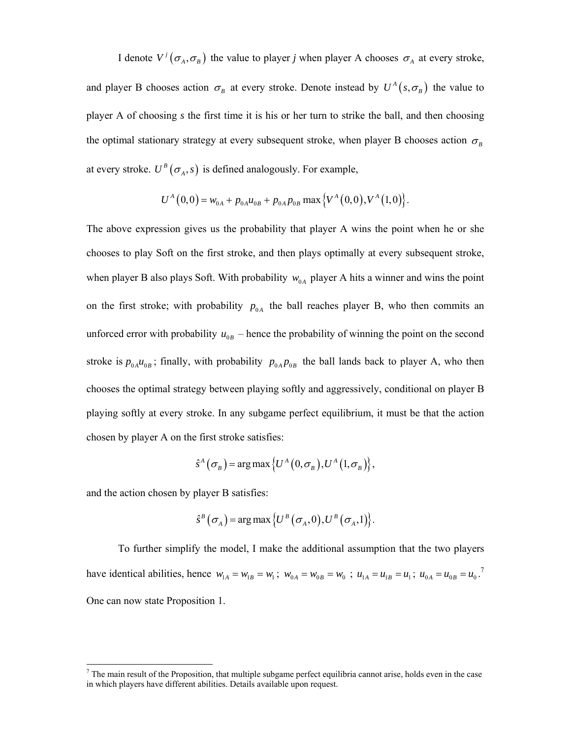I denote  $V^j(\sigma_A, \sigma_B)$  the value to player *j* when player A chooses  $\sigma_A$  at every stroke, and player B chooses action  $\sigma_B$  at every stroke. Denote instead by  $U^A(s, \sigma_B)$  the value to player A of choosing *s* the first time it is his or her turn to strike the ball, and then choosing the optimal stationary strategy at every subsequent stroke, when player B chooses action  $\sigma_B$ at every stroke.  $U^B(\sigma_A, s)$  is defined analogously. For example,

$$
U^A(0,0) = w_{0A} + p_{0A}u_{0B} + p_{0A}p_{0B} \max \{ V^A(0,0), V^A(1,0) \}.
$$

The above expression gives us the probability that player A wins the point when he or she chooses to play Soft on the first stroke, and then plays optimally at every subsequent stroke, when player B also plays Soft. With probability  $w_{0A}$  player A hits a winner and wins the point on the first stroke; with probability  $p_{0A}$  the ball reaches player B, who then commits an unforced error with probability  $u_{0B}$  – hence the probability of winning the point on the second stroke is  $p_{0A}u_{0B}$ ; finally, with probability  $p_{0A}p_{0B}$  the ball lands back to player A, who then chooses the optimal strategy between playing softly and aggressively, conditional on player B playing softly at every stroke. In any subgame perfect equilibrium, it must be that the action chosen by player A on the first stroke satisfies:

$$
\hat{s}^A(\sigma_B) = \arg \max \left\{ U^A(0, \sigma_B), U^A(1, \sigma_B) \right\},\
$$

and the action chosen by player B satisfies:

$$
\hat{s}^B(\sigma_A) = \arg \max \left\{ U^B(\sigma_A, 0), U^B(\sigma_A, 1) \right\}.
$$

 To further simplify the model, I make the additional assumption that the two players have identical abilities, hence  $w_{1A} = w_{1B} = w_1$ ;  $w_{0A} = w_{0B} = w_0$ ;  $u_{1A} = u_{1B} = u_1$ ;  $u_{0A} = u_{0B} = u_0$ . One can now state Proposition 1.

<sup>&</sup>lt;sup>7</sup> The main result of the Proposition, that multiple subgame perfect equilibria cannot arise, holds even in the case in which players have different abilities. Details available upon request.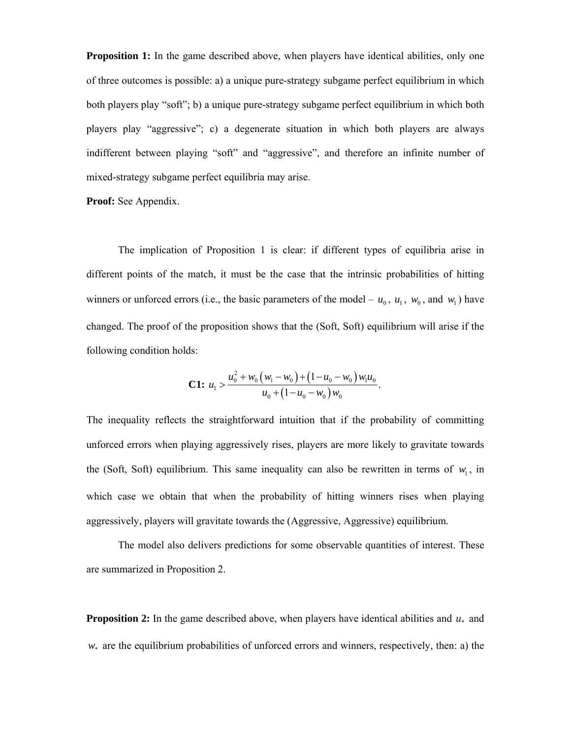**Proposition 1:** In the game described above, when players have identical abilities, only one of three outcomes is possible: a) a unique pure-strategy subgame perfect equilibrium in which both players play "soft"; b) a unique pure-strategy subgame perfect equilibrium in which both players play "aggressive"; c) a degenerate situation in which both players are always indifferent between playing "soft" and "aggressive", and therefore an infinite number of mixed-strategy subgame perfect equilibria may arise.

**Proof:** See Appendix.

The implication of Proposition 1 is clear: if different types of equilibria arise in different points of the match, it must be the case that the intrinsic probabilities of hitting winners or unforced errors (i.e., the basic parameters of the model –  $u_0$ ,  $u_1$ ,  $w_0$ , and  $w_1$ ) have changed. The proof of the proposition shows that the (Soft, Soft) equilibrium will arise if the following condition holds:

$$
C1: u_1 > \frac{u_0^2 + w_0 (w_1 - w_0) + (1 - u_0 - w_0) w_1 u_0}{u_0 + (1 - u_0 - w_0) w_0}.
$$

The inequality reflects the straightforward intuition that if the probability of committing unforced errors when playing aggressively rises, players are more likely to gravitate towards the (Soft, Soft) equilibrium. This same inequality can also be rewritten in terms of  $w_1$ , in which case we obtain that when the probability of hitting winners rises when playing aggressively, players will gravitate towards the (Aggressive, Aggressive) equilibrium.

The model also delivers predictions for some observable quantities of interest. These are summarized in Proposition 2.

**Proposition 2:** In the game described above, when players have identical abilities and  $u_*$  and  $w_*$  are the equilibrium probabilities of unforced errors and winners, respectively, then: a) the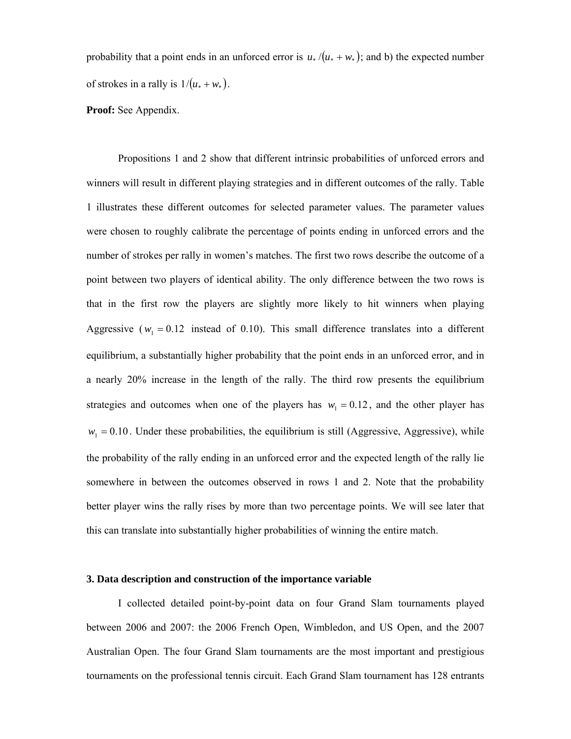probability that a point ends in an unforced error is  $u_* / (u_* + w_*)$ ; and b) the expected number of strokes in a rally is  $1 / (u_* + w_*)$ .

**Proof:** See Appendix.

Propositions 1 and 2 show that different intrinsic probabilities of unforced errors and winners will result in different playing strategies and in different outcomes of the rally. Table 1 illustrates these different outcomes for selected parameter values. The parameter values were chosen to roughly calibrate the percentage of points ending in unforced errors and the number of strokes per rally in women's matches. The first two rows describe the outcome of a point between two players of identical ability. The only difference between the two rows is that in the first row the players are slightly more likely to hit winners when playing Aggressive ( $w_1 = 0.12$  instead of 0.10). This small difference translates into a different equilibrium, a substantially higher probability that the point ends in an unforced error, and in a nearly 20% increase in the length of the rally. The third row presents the equilibrium strategies and outcomes when one of the players has  $w_1 = 0.12$ , and the other player has  $w_1 = 0.10$ . Under these probabilities, the equilibrium is still (Aggressive, Aggressive), while the probability of the rally ending in an unforced error and the expected length of the rally lie somewhere in between the outcomes observed in rows 1 and 2. Note that the probability better player wins the rally rises by more than two percentage points. We will see later that this can translate into substantially higher probabilities of winning the entire match.

#### **3. Data description and construction of the importance variable**

I collected detailed point-by-point data on four Grand Slam tournaments played between 2006 and 2007: the 2006 French Open, Wimbledon, and US Open, and the 2007 Australian Open. The four Grand Slam tournaments are the most important and prestigious tournaments on the professional tennis circuit. Each Grand Slam tournament has 128 entrants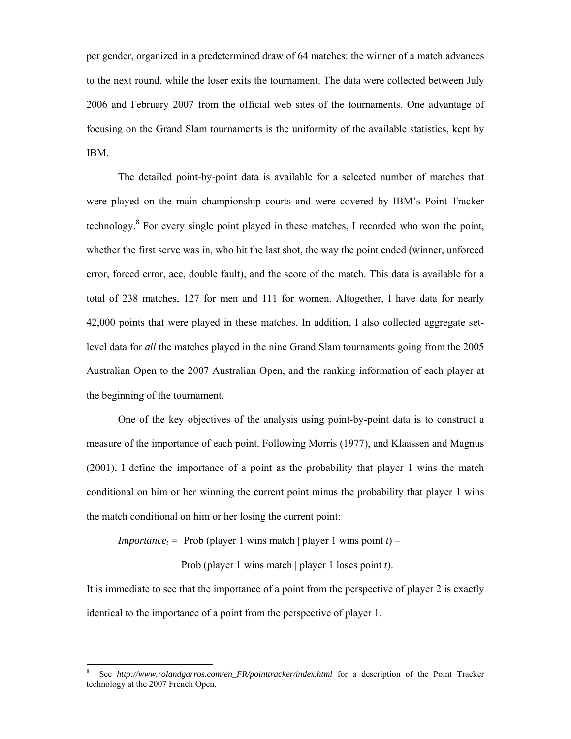per gender, organized in a predetermined draw of 64 matches: the winner of a match advances to the next round, while the loser exits the tournament. The data were collected between July 2006 and February 2007 from the official web sites of the tournaments. One advantage of focusing on the Grand Slam tournaments is the uniformity of the available statistics, kept by IBM.

The detailed point-by-point data is available for a selected number of matches that were played on the main championship courts and were covered by IBM's Point Tracker technology.<sup>8</sup> For every single point played in these matches, I recorded who won the point, whether the first serve was in, who hit the last shot, the way the point ended (winner, unforced error, forced error, ace, double fault), and the score of the match. This data is available for a total of 238 matches, 127 for men and 111 for women. Altogether, I have data for nearly 42,000 points that were played in these matches. In addition, I also collected aggregate setlevel data for *all* the matches played in the nine Grand Slam tournaments going from the 2005 Australian Open to the 2007 Australian Open, and the ranking information of each player at the beginning of the tournament.

One of the key objectives of the analysis using point-by-point data is to construct a measure of the importance of each point. Following Morris (1977), and Klaassen and Magnus (2001), I define the importance of a point as the probability that player 1 wins the match conditional on him or her winning the current point minus the probability that player 1 wins the match conditional on him or her losing the current point:

*Importance<sub>t</sub>* = Prob (player 1 wins match | player 1 wins point *t*) –

 $\overline{a}$ 

Prob (player 1 wins match | player 1 loses point *t*).

It is immediate to see that the importance of a point from the perspective of player 2 is exactly identical to the importance of a point from the perspective of player 1.

<sup>8</sup> See *http://www.rolandgarros.com/en\_FR/pointtracker/index.html* for a description of the Point Tracker technology at the 2007 French Open.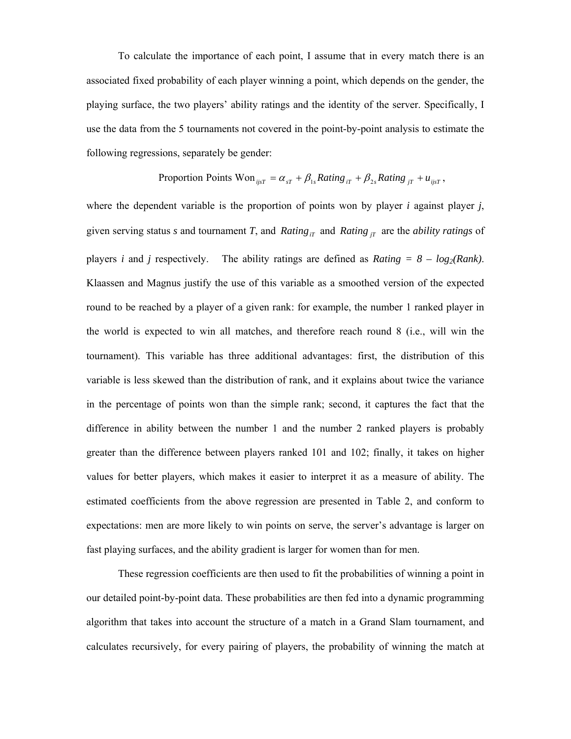To calculate the importance of each point, I assume that in every match there is an associated fixed probability of each player winning a point, which depends on the gender, the playing surface, the two players' ability ratings and the identity of the server. Specifically, I use the data from the 5 tournaments not covered in the point-by-point analysis to estimate the following regressions, separately be gender:

Proportion Points 
$$
\text{Won}_{ijST} = \alpha_{ST} + \beta_{1s} \text{Rating}_{iT} + \beta_{2s} \text{Rating}_{iT} + u_{ijST}
$$
,

where the dependent variable is the proportion of points won by player *i* against player *j*, given serving status *s* and tournament *T*, and *Rating*<sub>*IT*</sub> and *Rating*  $_{IT}$  are the *ability ratings* of players *i* and *j* respectively. The ability ratings are defined as *Rating* =  $8 - log_2(Rank)$ . Klaassen and Magnus justify the use of this variable as a smoothed version of the expected round to be reached by a player of a given rank: for example, the number 1 ranked player in the world is expected to win all matches, and therefore reach round 8 (i.e., will win the tournament). This variable has three additional advantages: first, the distribution of this variable is less skewed than the distribution of rank, and it explains about twice the variance in the percentage of points won than the simple rank; second, it captures the fact that the difference in ability between the number 1 and the number 2 ranked players is probably greater than the difference between players ranked 101 and 102; finally, it takes on higher values for better players, which makes it easier to interpret it as a measure of ability. The estimated coefficients from the above regression are presented in Table 2, and conform to expectations: men are more likely to win points on serve, the server's advantage is larger on fast playing surfaces, and the ability gradient is larger for women than for men.

These regression coefficients are then used to fit the probabilities of winning a point in our detailed point-by-point data. These probabilities are then fed into a dynamic programming algorithm that takes into account the structure of a match in a Grand Slam tournament, and calculates recursively, for every pairing of players, the probability of winning the match at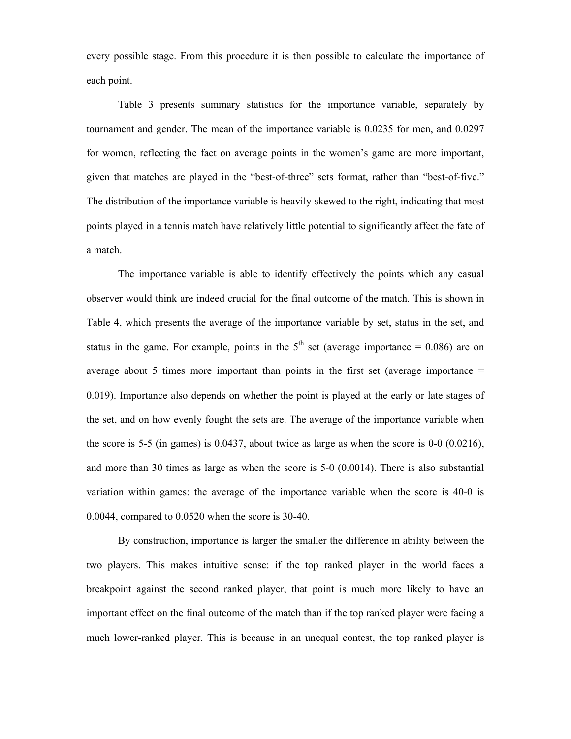every possible stage. From this procedure it is then possible to calculate the importance of each point.

Table 3 presents summary statistics for the importance variable, separately by tournament and gender. The mean of the importance variable is 0.0235 for men, and 0.0297 for women, reflecting the fact on average points in the women's game are more important, given that matches are played in the "best-of-three" sets format, rather than "best-of-five." The distribution of the importance variable is heavily skewed to the right, indicating that most points played in a tennis match have relatively little potential to significantly affect the fate of a match.

The importance variable is able to identify effectively the points which any casual observer would think are indeed crucial for the final outcome of the match. This is shown in Table 4, which presents the average of the importance variable by set, status in the set, and status in the game. For example, points in the  $5<sup>th</sup>$  set (average importance = 0.086) are on average about 5 times more important than points in the first set (average importance  $=$ 0.019). Importance also depends on whether the point is played at the early or late stages of the set, and on how evenly fought the sets are. The average of the importance variable when the score is 5-5 (in games) is  $0.0437$ , about twice as large as when the score is  $0-0.0216$ ), and more than 30 times as large as when the score is 5-0 (0.0014). There is also substantial variation within games: the average of the importance variable when the score is 40-0 is 0.0044, compared to 0.0520 when the score is 30-40.

By construction, importance is larger the smaller the difference in ability between the two players. This makes intuitive sense: if the top ranked player in the world faces a breakpoint against the second ranked player, that point is much more likely to have an important effect on the final outcome of the match than if the top ranked player were facing a much lower-ranked player. This is because in an unequal contest, the top ranked player is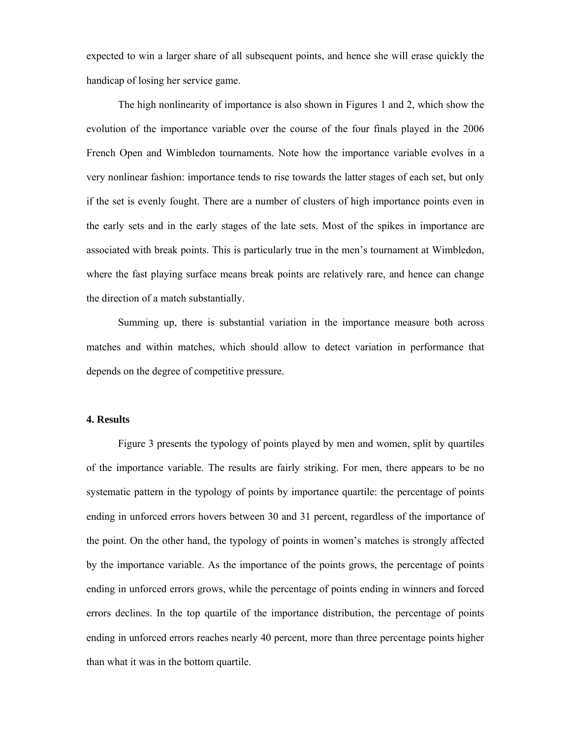expected to win a larger share of all subsequent points, and hence she will erase quickly the handicap of losing her service game.

The high nonlinearity of importance is also shown in Figures 1 and 2, which show the evolution of the importance variable over the course of the four finals played in the 2006 French Open and Wimbledon tournaments. Note how the importance variable evolves in a very nonlinear fashion: importance tends to rise towards the latter stages of each set, but only if the set is evenly fought. There are a number of clusters of high importance points even in the early sets and in the early stages of the late sets. Most of the spikes in importance are associated with break points. This is particularly true in the men's tournament at Wimbledon, where the fast playing surface means break points are relatively rare, and hence can change the direction of a match substantially.

 Summing up, there is substantial variation in the importance measure both across matches and within matches, which should allow to detect variation in performance that depends on the degree of competitive pressure.

## **4. Results**

Figure 3 presents the typology of points played by men and women, split by quartiles of the importance variable. The results are fairly striking. For men, there appears to be no systematic pattern in the typology of points by importance quartile: the percentage of points ending in unforced errors hovers between 30 and 31 percent, regardless of the importance of the point. On the other hand, the typology of points in women's matches is strongly affected by the importance variable. As the importance of the points grows, the percentage of points ending in unforced errors grows, while the percentage of points ending in winners and forced errors declines. In the top quartile of the importance distribution, the percentage of points ending in unforced errors reaches nearly 40 percent, more than three percentage points higher than what it was in the bottom quartile.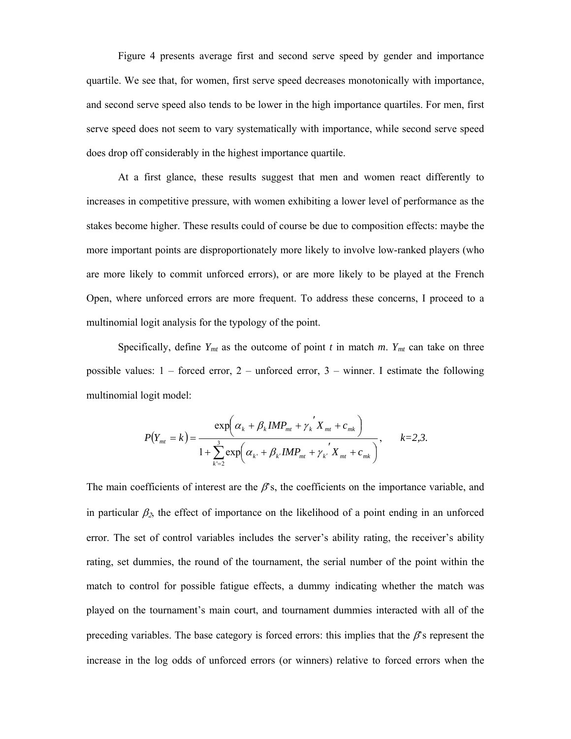Figure 4 presents average first and second serve speed by gender and importance quartile. We see that, for women, first serve speed decreases monotonically with importance, and second serve speed also tends to be lower in the high importance quartiles. For men, first serve speed does not seem to vary systematically with importance, while second serve speed does drop off considerably in the highest importance quartile.

 At a first glance, these results suggest that men and women react differently to increases in competitive pressure, with women exhibiting a lower level of performance as the stakes become higher. These results could of course be due to composition effects: maybe the more important points are disproportionately more likely to involve low-ranked players (who are more likely to commit unforced errors), or are more likely to be played at the French Open, where unforced errors are more frequent. To address these concerns, I proceed to a multinomial logit analysis for the typology of the point.

Specifically, define  $Y_{mt}$  as the outcome of point *t* in match *m*.  $Y_{mt}$  can take on three possible values:  $1$  – forced error,  $2$  – unforced error,  $3$  – winner. I estimate the following multinomial logit model:

$$
P(Y_{mt} = k) = \frac{\exp\left(\alpha_{k} + \beta_{k} I M P_{mt} + \gamma_{k}^{'} X_{mt} + c_{mk}\right)}{1 + \sum_{k'=2}^{3} \exp\left(\alpha_{k'} + \beta_{k'} I M P_{mt} + \gamma_{k'}^{'} X_{mt} + c_{mk}\right)}, \qquad k = 2, 3.
$$

The main coefficients of interest are the  $\beta$ 's, the coefficients on the importance variable, and in particular  $\beta_2$ , the effect of importance on the likelihood of a point ending in an unforced error. The set of control variables includes the server's ability rating, the receiver's ability rating, set dummies, the round of the tournament, the serial number of the point within the match to control for possible fatigue effects, a dummy indicating whether the match was played on the tournament's main court, and tournament dummies interacted with all of the preceding variables. The base category is forced errors: this implies that the  $\beta$ 's represent the increase in the log odds of unforced errors (or winners) relative to forced errors when the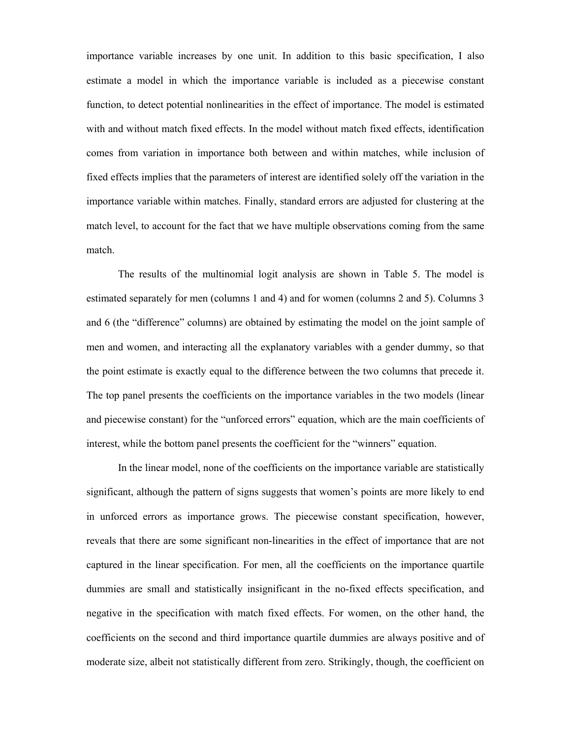importance variable increases by one unit. In addition to this basic specification, I also estimate a model in which the importance variable is included as a piecewise constant function, to detect potential nonlinearities in the effect of importance. The model is estimated with and without match fixed effects. In the model without match fixed effects, identification comes from variation in importance both between and within matches, while inclusion of fixed effects implies that the parameters of interest are identified solely off the variation in the importance variable within matches. Finally, standard errors are adjusted for clustering at the match level, to account for the fact that we have multiple observations coming from the same match.

 The results of the multinomial logit analysis are shown in Table 5. The model is estimated separately for men (columns 1 and 4) and for women (columns 2 and 5). Columns 3 and 6 (the "difference" columns) are obtained by estimating the model on the joint sample of men and women, and interacting all the explanatory variables with a gender dummy, so that the point estimate is exactly equal to the difference between the two columns that precede it. The top panel presents the coefficients on the importance variables in the two models (linear and piecewise constant) for the "unforced errors" equation, which are the main coefficients of interest, while the bottom panel presents the coefficient for the "winners" equation.

In the linear model, none of the coefficients on the importance variable are statistically significant, although the pattern of signs suggests that women's points are more likely to end in unforced errors as importance grows. The piecewise constant specification, however, reveals that there are some significant non-linearities in the effect of importance that are not captured in the linear specification. For men, all the coefficients on the importance quartile dummies are small and statistically insignificant in the no-fixed effects specification, and negative in the specification with match fixed effects. For women, on the other hand, the coefficients on the second and third importance quartile dummies are always positive and of moderate size, albeit not statistically different from zero. Strikingly, though, the coefficient on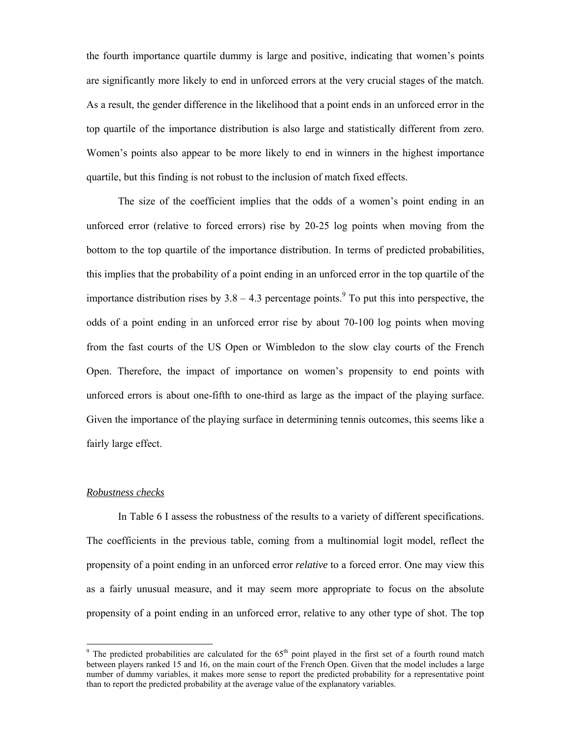the fourth importance quartile dummy is large and positive, indicating that women's points are significantly more likely to end in unforced errors at the very crucial stages of the match. As a result, the gender difference in the likelihood that a point ends in an unforced error in the top quartile of the importance distribution is also large and statistically different from zero. Women's points also appear to be more likely to end in winners in the highest importance quartile, but this finding is not robust to the inclusion of match fixed effects.

The size of the coefficient implies that the odds of a women's point ending in an unforced error (relative to forced errors) rise by 20-25 log points when moving from the bottom to the top quartile of the importance distribution. In terms of predicted probabilities, this implies that the probability of a point ending in an unforced error in the top quartile of the importance distribution rises by  $3.8 - 4.3$  percentage points.<sup>9</sup> To put this into perspective, the odds of a point ending in an unforced error rise by about 70-100 log points when moving from the fast courts of the US Open or Wimbledon to the slow clay courts of the French Open. Therefore, the impact of importance on women's propensity to end points with unforced errors is about one-fifth to one-third as large as the impact of the playing surface. Given the importance of the playing surface in determining tennis outcomes, this seems like a fairly large effect.

#### *Robustness checks*

In Table 6 I assess the robustness of the results to a variety of different specifications. The coefficients in the previous table, coming from a multinomial logit model, reflect the propensity of a point ending in an unforced error *relative* to a forced error. One may view this as a fairly unusual measure, and it may seem more appropriate to focus on the absolute propensity of a point ending in an unforced error, relative to any other type of shot. The top

<sup>&</sup>lt;sup>9</sup> The predicted probabilities are calculated for the  $65<sup>th</sup>$  point played in the first set of a fourth round match between players ranked 15 and 16, on the main court of the French Open. Given that the model includes a large number of dummy variables, it makes more sense to report the predicted probability for a representative point than to report the predicted probability at the average value of the explanatory variables.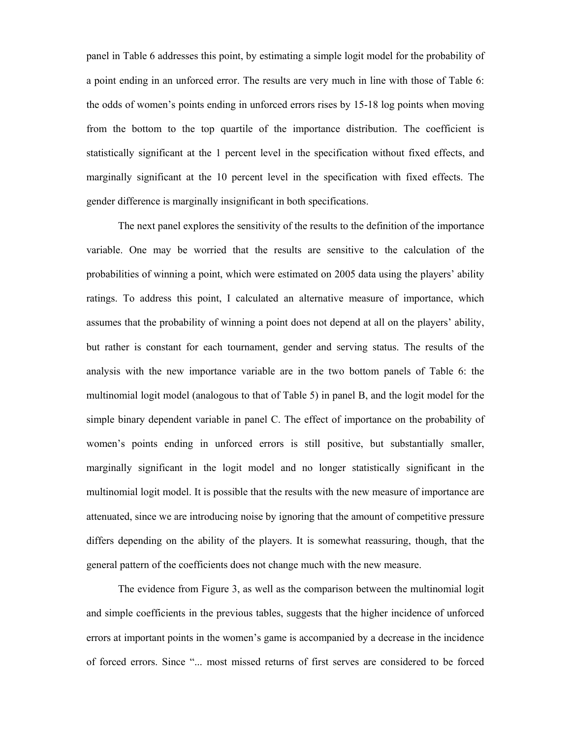panel in Table 6 addresses this point, by estimating a simple logit model for the probability of a point ending in an unforced error. The results are very much in line with those of Table 6: the odds of women's points ending in unforced errors rises by 15-18 log points when moving from the bottom to the top quartile of the importance distribution. The coefficient is statistically significant at the 1 percent level in the specification without fixed effects, and marginally significant at the 10 percent level in the specification with fixed effects. The gender difference is marginally insignificant in both specifications.

The next panel explores the sensitivity of the results to the definition of the importance variable. One may be worried that the results are sensitive to the calculation of the probabilities of winning a point, which were estimated on 2005 data using the players' ability ratings. To address this point, I calculated an alternative measure of importance, which assumes that the probability of winning a point does not depend at all on the players' ability, but rather is constant for each tournament, gender and serving status. The results of the analysis with the new importance variable are in the two bottom panels of Table 6: the multinomial logit model (analogous to that of Table 5) in panel B, and the logit model for the simple binary dependent variable in panel C. The effect of importance on the probability of women's points ending in unforced errors is still positive, but substantially smaller, marginally significant in the logit model and no longer statistically significant in the multinomial logit model. It is possible that the results with the new measure of importance are attenuated, since we are introducing noise by ignoring that the amount of competitive pressure differs depending on the ability of the players. It is somewhat reassuring, though, that the general pattern of the coefficients does not change much with the new measure.

The evidence from Figure 3, as well as the comparison between the multinomial logit and simple coefficients in the previous tables, suggests that the higher incidence of unforced errors at important points in the women's game is accompanied by a decrease in the incidence of forced errors. Since "... most missed returns of first serves are considered to be forced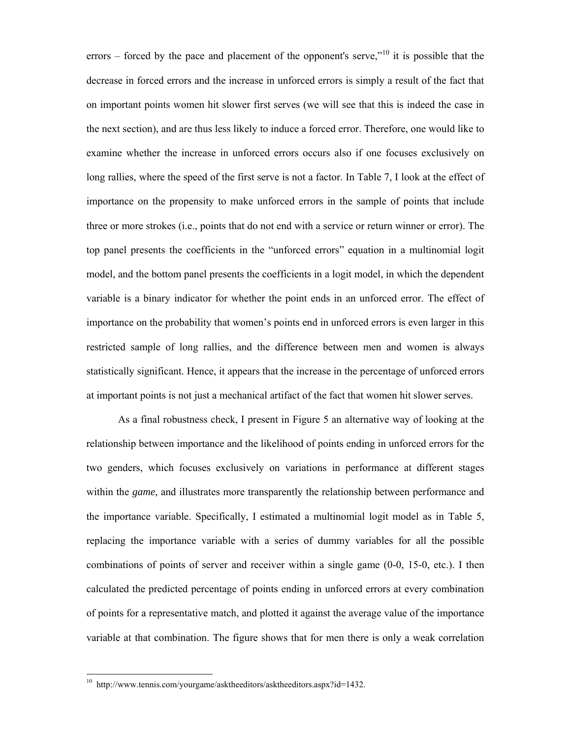errors – forced by the pace and placement of the opponent's serve,"<sup>10</sup> it is possible that the decrease in forced errors and the increase in unforced errors is simply a result of the fact that on important points women hit slower first serves (we will see that this is indeed the case in the next section), and are thus less likely to induce a forced error. Therefore, one would like to examine whether the increase in unforced errors occurs also if one focuses exclusively on long rallies, where the speed of the first serve is not a factor. In Table 7, I look at the effect of importance on the propensity to make unforced errors in the sample of points that include three or more strokes (i.e., points that do not end with a service or return winner or error). The top panel presents the coefficients in the "unforced errors" equation in a multinomial logit model, and the bottom panel presents the coefficients in a logit model, in which the dependent variable is a binary indicator for whether the point ends in an unforced error. The effect of importance on the probability that women's points end in unforced errors is even larger in this restricted sample of long rallies, and the difference between men and women is always statistically significant. Hence, it appears that the increase in the percentage of unforced errors at important points is not just a mechanical artifact of the fact that women hit slower serves.

As a final robustness check, I present in Figure 5 an alternative way of looking at the relationship between importance and the likelihood of points ending in unforced errors for the two genders, which focuses exclusively on variations in performance at different stages within the *game*, and illustrates more transparently the relationship between performance and the importance variable. Specifically, I estimated a multinomial logit model as in Table 5, replacing the importance variable with a series of dummy variables for all the possible combinations of points of server and receiver within a single game (0-0, 15-0, etc.). I then calculated the predicted percentage of points ending in unforced errors at every combination of points for a representative match, and plotted it against the average value of the importance variable at that combination. The figure shows that for men there is only a weak correlation

 $\overline{a}$ 

<sup>&</sup>lt;sup>10</sup> http://www.tennis.com/yourgame/asktheeditors/asktheeditors.aspx?id=1432.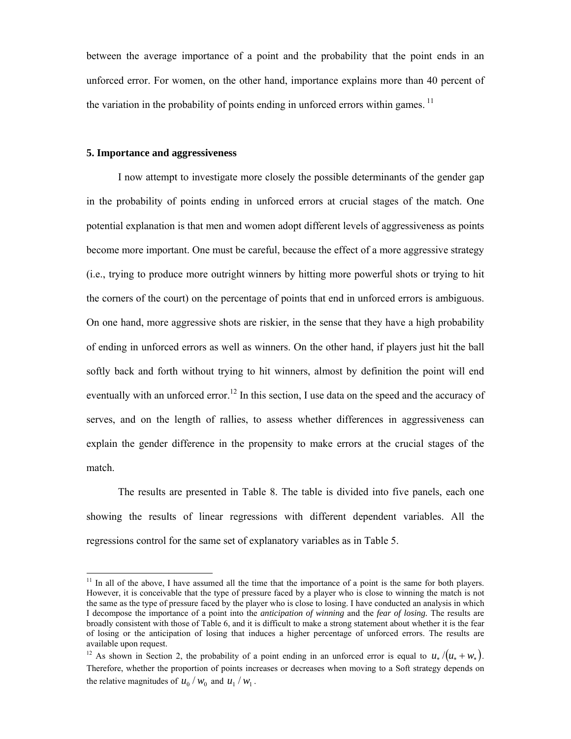between the average importance of a point and the probability that the point ends in an unforced error. For women, on the other hand, importance explains more than 40 percent of the variation in the probability of points ending in unforced errors within games.<sup>11</sup>

## **5. Importance and aggressiveness**

 $\overline{a}$ 

 I now attempt to investigate more closely the possible determinants of the gender gap in the probability of points ending in unforced errors at crucial stages of the match. One potential explanation is that men and women adopt different levels of aggressiveness as points become more important. One must be careful, because the effect of a more aggressive strategy (i.e., trying to produce more outright winners by hitting more powerful shots or trying to hit the corners of the court) on the percentage of points that end in unforced errors is ambiguous. On one hand, more aggressive shots are riskier, in the sense that they have a high probability of ending in unforced errors as well as winners. On the other hand, if players just hit the ball softly back and forth without trying to hit winners, almost by definition the point will end eventually with an unforced error.<sup>12</sup> In this section, I use data on the speed and the accuracy of serves, and on the length of rallies, to assess whether differences in aggressiveness can explain the gender difference in the propensity to make errors at the crucial stages of the match.

 The results are presented in Table 8. The table is divided into five panels, each one showing the results of linear regressions with different dependent variables. All the regressions control for the same set of explanatory variables as in Table 5.

 $11$  In all of the above, I have assumed all the time that the importance of a point is the same for both players. However, it is conceivable that the type of pressure faced by a player who is close to winning the match is not the same as the type of pressure faced by the player who is close to losing. I have conducted an analysis in which I decompose the importance of a point into the *anticipation of winning* and the *fear of losing.* The results are broadly consistent with those of Table 6, and it is difficult to make a strong statement about whether it is the fear of losing or the anticipation of losing that induces a higher percentage of unforced errors. The results are available upon request.

<sup>&</sup>lt;sup>12</sup> As shown in Section 2, the probability of a point ending in an unforced error is equal to  $u_*/( u_* + w_* )$ . Therefore, whether the proportion of points increases or decreases when moving to a Soft strategy depends on the relative magnitudes of  $u_0 / w_0$  and  $u_1 / w_1$ .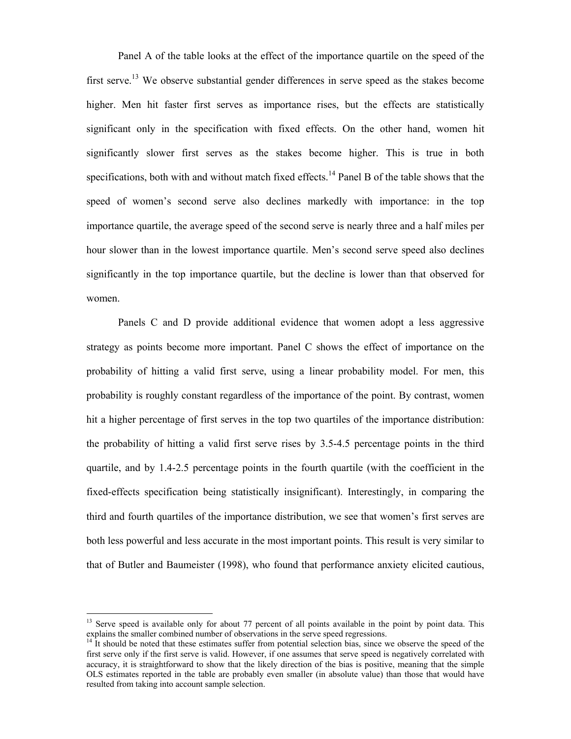Panel A of the table looks at the effect of the importance quartile on the speed of the first serve.<sup>13</sup> We observe substantial gender differences in serve speed as the stakes become higher. Men hit faster first serves as importance rises, but the effects are statistically significant only in the specification with fixed effects. On the other hand, women hit significantly slower first serves as the stakes become higher. This is true in both specifications, both with and without match fixed effects.<sup>14</sup> Panel B of the table shows that the speed of women's second serve also declines markedly with importance: in the top importance quartile, the average speed of the second serve is nearly three and a half miles per hour slower than in the lowest importance quartile. Men's second serve speed also declines significantly in the top importance quartile, but the decline is lower than that observed for women.

Panels C and D provide additional evidence that women adopt a less aggressive strategy as points become more important. Panel C shows the effect of importance on the probability of hitting a valid first serve, using a linear probability model. For men, this probability is roughly constant regardless of the importance of the point. By contrast, women hit a higher percentage of first serves in the top two quartiles of the importance distribution: the probability of hitting a valid first serve rises by 3.5-4.5 percentage points in the third quartile, and by 1.4-2.5 percentage points in the fourth quartile (with the coefficient in the fixed-effects specification being statistically insignificant). Interestingly, in comparing the third and fourth quartiles of the importance distribution, we see that women's first serves are both less powerful and less accurate in the most important points. This result is very similar to that of Butler and Baumeister (1998), who found that performance anxiety elicited cautious,

 $\overline{a}$ 

<sup>&</sup>lt;sup>13</sup> Serve speed is available only for about 77 percent of all points available in the point by point data. This explains the smaller combined number of observations in the serve speed regressions.

 $14$  It should be noted that these estimates suffer from potential selection bias, since we observe the speed of the first serve only if the first serve is valid. However, if one assumes that serve speed is negatively correlated with accuracy, it is straightforward to show that the likely direction of the bias is positive, meaning that the simple OLS estimates reported in the table are probably even smaller (in absolute value) than those that would have resulted from taking into account sample selection.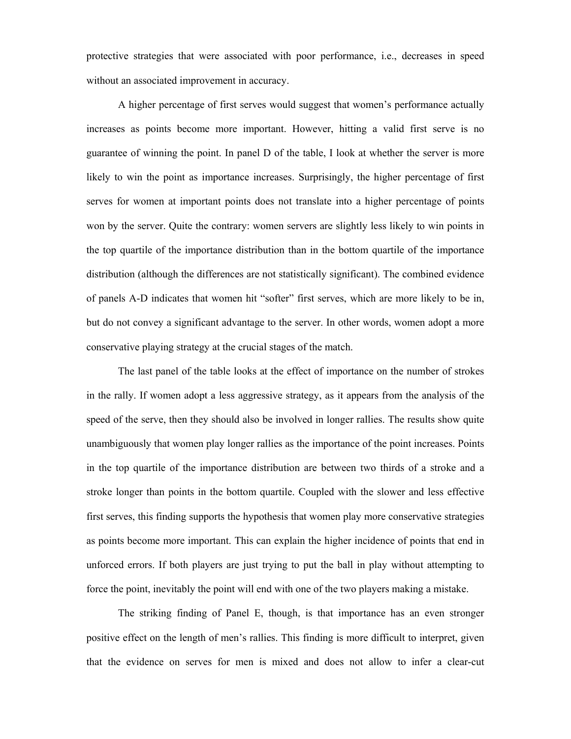protective strategies that were associated with poor performance, i.e., decreases in speed without an associated improvement in accuracy.

A higher percentage of first serves would suggest that women's performance actually increases as points become more important. However, hitting a valid first serve is no guarantee of winning the point. In panel D of the table, I look at whether the server is more likely to win the point as importance increases. Surprisingly, the higher percentage of first serves for women at important points does not translate into a higher percentage of points won by the server. Quite the contrary: women servers are slightly less likely to win points in the top quartile of the importance distribution than in the bottom quartile of the importance distribution (although the differences are not statistically significant). The combined evidence of panels A-D indicates that women hit "softer" first serves, which are more likely to be in, but do not convey a significant advantage to the server. In other words, women adopt a more conservative playing strategy at the crucial stages of the match.

The last panel of the table looks at the effect of importance on the number of strokes in the rally. If women adopt a less aggressive strategy, as it appears from the analysis of the speed of the serve, then they should also be involved in longer rallies. The results show quite unambiguously that women play longer rallies as the importance of the point increases. Points in the top quartile of the importance distribution are between two thirds of a stroke and a stroke longer than points in the bottom quartile. Coupled with the slower and less effective first serves, this finding supports the hypothesis that women play more conservative strategies as points become more important. This can explain the higher incidence of points that end in unforced errors. If both players are just trying to put the ball in play without attempting to force the point, inevitably the point will end with one of the two players making a mistake.

The striking finding of Panel E, though, is that importance has an even stronger positive effect on the length of men's rallies. This finding is more difficult to interpret, given that the evidence on serves for men is mixed and does not allow to infer a clear-cut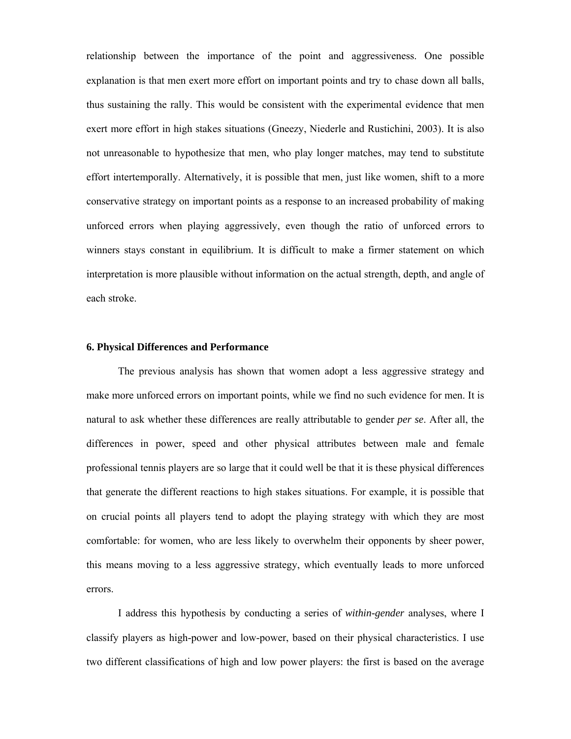relationship between the importance of the point and aggressiveness. One possible explanation is that men exert more effort on important points and try to chase down all balls, thus sustaining the rally. This would be consistent with the experimental evidence that men exert more effort in high stakes situations (Gneezy, Niederle and Rustichini, 2003). It is also not unreasonable to hypothesize that men, who play longer matches, may tend to substitute effort intertemporally. Alternatively, it is possible that men, just like women, shift to a more conservative strategy on important points as a response to an increased probability of making unforced errors when playing aggressively, even though the ratio of unforced errors to winners stays constant in equilibrium. It is difficult to make a firmer statement on which interpretation is more plausible without information on the actual strength, depth, and angle of each stroke.

#### **6. Physical Differences and Performance**

The previous analysis has shown that women adopt a less aggressive strategy and make more unforced errors on important points, while we find no such evidence for men. It is natural to ask whether these differences are really attributable to gender *per se*. After all, the differences in power, speed and other physical attributes between male and female professional tennis players are so large that it could well be that it is these physical differences that generate the different reactions to high stakes situations. For example, it is possible that on crucial points all players tend to adopt the playing strategy with which they are most comfortable: for women, who are less likely to overwhelm their opponents by sheer power, this means moving to a less aggressive strategy, which eventually leads to more unforced errors.

I address this hypothesis by conducting a series of *within-gender* analyses, where I classify players as high-power and low-power, based on their physical characteristics. I use two different classifications of high and low power players: the first is based on the average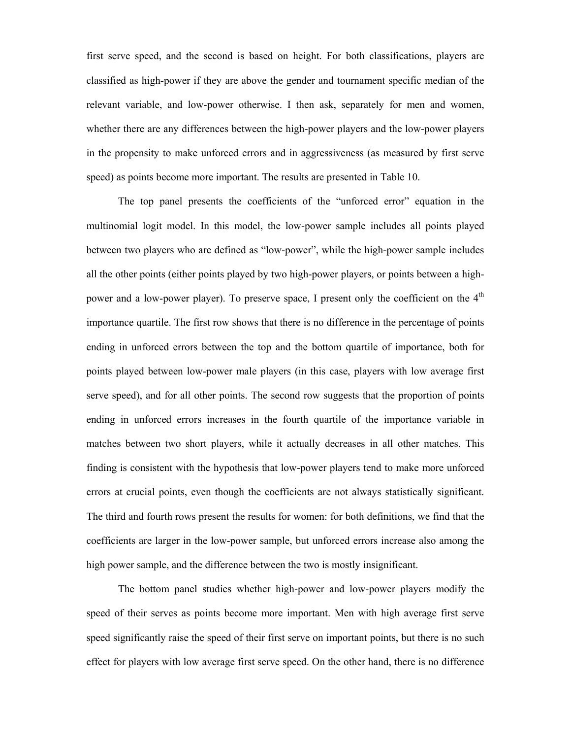first serve speed, and the second is based on height. For both classifications, players are classified as high-power if they are above the gender and tournament specific median of the relevant variable, and low-power otherwise. I then ask, separately for men and women, whether there are any differences between the high-power players and the low-power players in the propensity to make unforced errors and in aggressiveness (as measured by first serve speed) as points become more important. The results are presented in Table 10.

The top panel presents the coefficients of the "unforced error" equation in the multinomial logit model. In this model, the low-power sample includes all points played between two players who are defined as "low-power", while the high-power sample includes all the other points (either points played by two high-power players, or points between a highpower and a low-power player). To preserve space, I present only the coefficient on the  $4<sup>th</sup>$ importance quartile. The first row shows that there is no difference in the percentage of points ending in unforced errors between the top and the bottom quartile of importance, both for points played between low-power male players (in this case, players with low average first serve speed), and for all other points. The second row suggests that the proportion of points ending in unforced errors increases in the fourth quartile of the importance variable in matches between two short players, while it actually decreases in all other matches. This finding is consistent with the hypothesis that low-power players tend to make more unforced errors at crucial points, even though the coefficients are not always statistically significant. The third and fourth rows present the results for women: for both definitions, we find that the coefficients are larger in the low-power sample, but unforced errors increase also among the high power sample, and the difference between the two is mostly insignificant.

The bottom panel studies whether high-power and low-power players modify the speed of their serves as points become more important. Men with high average first serve speed significantly raise the speed of their first serve on important points, but there is no such effect for players with low average first serve speed. On the other hand, there is no difference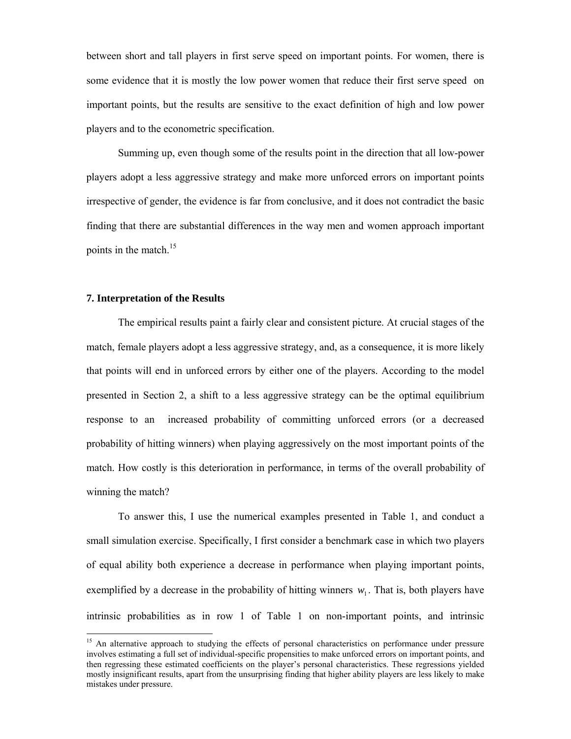between short and tall players in first serve speed on important points. For women, there is some evidence that it is mostly the low power women that reduce their first serve speed on important points, but the results are sensitive to the exact definition of high and low power players and to the econometric specification.

Summing up, even though some of the results point in the direction that all low-power players adopt a less aggressive strategy and make more unforced errors on important points irrespective of gender, the evidence is far from conclusive, and it does not contradict the basic finding that there are substantial differences in the way men and women approach important points in the match.<sup>15</sup>

## **7. Interpretation of the Results**

 $\overline{a}$ 

The empirical results paint a fairly clear and consistent picture. At crucial stages of the match, female players adopt a less aggressive strategy, and, as a consequence, it is more likely that points will end in unforced errors by either one of the players. According to the model presented in Section 2, a shift to a less aggressive strategy can be the optimal equilibrium response to an increased probability of committing unforced errors (or a decreased probability of hitting winners) when playing aggressively on the most important points of the match. How costly is this deterioration in performance, in terms of the overall probability of winning the match?

 To answer this, I use the numerical examples presented in Table 1, and conduct a small simulation exercise. Specifically, I first consider a benchmark case in which two players of equal ability both experience a decrease in performance when playing important points, exemplified by a decrease in the probability of hitting winners  $w_1$ . That is, both players have intrinsic probabilities as in row 1 of Table 1 on non-important points, and intrinsic

<sup>&</sup>lt;sup>15</sup> An alternative approach to studying the effects of personal characteristics on performance under pressure involves estimating a full set of individual-specific propensities to make unforced errors on important points, and then regressing these estimated coefficients on the player's personal characteristics. These regressions yielded mostly insignificant results, apart from the unsurprising finding that higher ability players are less likely to make mistakes under pressure.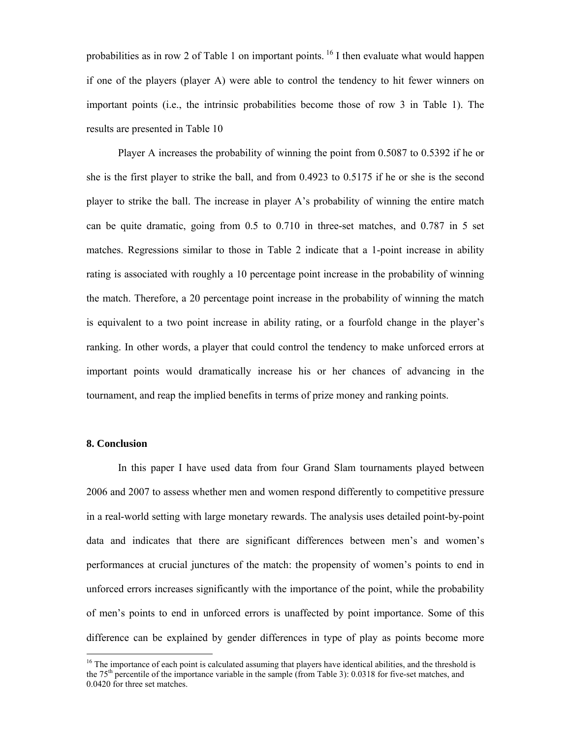probabilities as in row 2 of Table 1 on important points. <sup>16</sup> I then evaluate what would happen if one of the players (player A) were able to control the tendency to hit fewer winners on important points (i.e., the intrinsic probabilities become those of row 3 in Table 1). The results are presented in Table 10

Player A increases the probability of winning the point from 0.5087 to 0.5392 if he or she is the first player to strike the ball, and from 0.4923 to 0.5175 if he or she is the second player to strike the ball. The increase in player A's probability of winning the entire match can be quite dramatic, going from 0.5 to 0.710 in three-set matches, and 0.787 in 5 set matches. Regressions similar to those in Table 2 indicate that a 1-point increase in ability rating is associated with roughly a 10 percentage point increase in the probability of winning the match. Therefore, a 20 percentage point increase in the probability of winning the match is equivalent to a two point increase in ability rating, or a fourfold change in the player's ranking. In other words, a player that could control the tendency to make unforced errors at important points would dramatically increase his or her chances of advancing in the tournament, and reap the implied benefits in terms of prize money and ranking points.

#### **8. Conclusion**

 $\overline{a}$ 

In this paper I have used data from four Grand Slam tournaments played between 2006 and 2007 to assess whether men and women respond differently to competitive pressure in a real-world setting with large monetary rewards. The analysis uses detailed point-by-point data and indicates that there are significant differences between men's and women's performances at crucial junctures of the match: the propensity of women's points to end in unforced errors increases significantly with the importance of the point, while the probability of men's points to end in unforced errors is unaffected by point importance. Some of this difference can be explained by gender differences in type of play as points become more

<sup>&</sup>lt;sup>16</sup> The importance of each point is calculated assuming that players have identical abilities, and the threshold is the 75<sup>th</sup> percentile of the importance variable in the sample (from Table 3): 0.0318 for five-set matches, and 0.0420 for three set matches.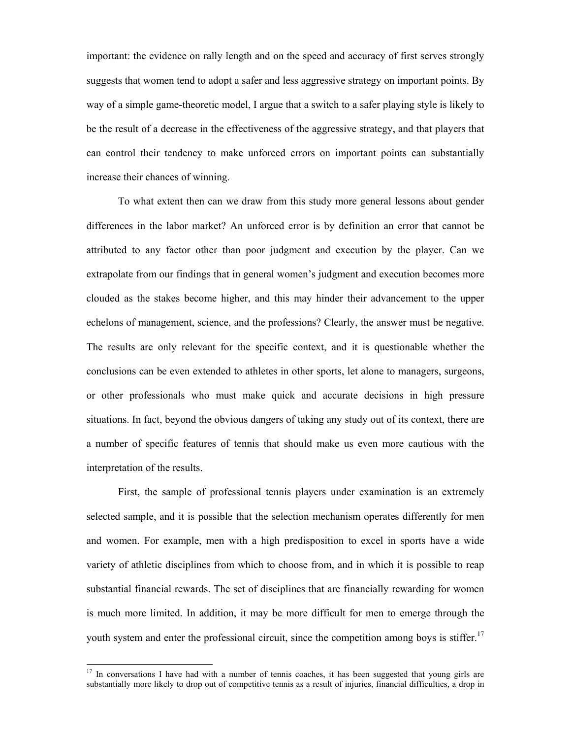important: the evidence on rally length and on the speed and accuracy of first serves strongly suggests that women tend to adopt a safer and less aggressive strategy on important points. By way of a simple game-theoretic model, I argue that a switch to a safer playing style is likely to be the result of a decrease in the effectiveness of the aggressive strategy, and that players that can control their tendency to make unforced errors on important points can substantially increase their chances of winning.

To what extent then can we draw from this study more general lessons about gender differences in the labor market? An unforced error is by definition an error that cannot be attributed to any factor other than poor judgment and execution by the player. Can we extrapolate from our findings that in general women's judgment and execution becomes more clouded as the stakes become higher, and this may hinder their advancement to the upper echelons of management, science, and the professions? Clearly, the answer must be negative. The results are only relevant for the specific context, and it is questionable whether the conclusions can be even extended to athletes in other sports, let alone to managers, surgeons, or other professionals who must make quick and accurate decisions in high pressure situations. In fact, beyond the obvious dangers of taking any study out of its context, there are a number of specific features of tennis that should make us even more cautious with the interpretation of the results.

First, the sample of professional tennis players under examination is an extremely selected sample, and it is possible that the selection mechanism operates differently for men and women. For example, men with a high predisposition to excel in sports have a wide variety of athletic disciplines from which to choose from, and in which it is possible to reap substantial financial rewards. The set of disciplines that are financially rewarding for women is much more limited. In addition, it may be more difficult for men to emerge through the youth system and enter the professional circuit, since the competition among boys is stiffer.<sup>17</sup>

 $\overline{a}$ 

<sup>&</sup>lt;sup>17</sup> In conversations I have had with a number of tennis coaches, it has been suggested that young girls are substantially more likely to drop out of competitive tennis as a result of injuries, financial difficulties, a drop in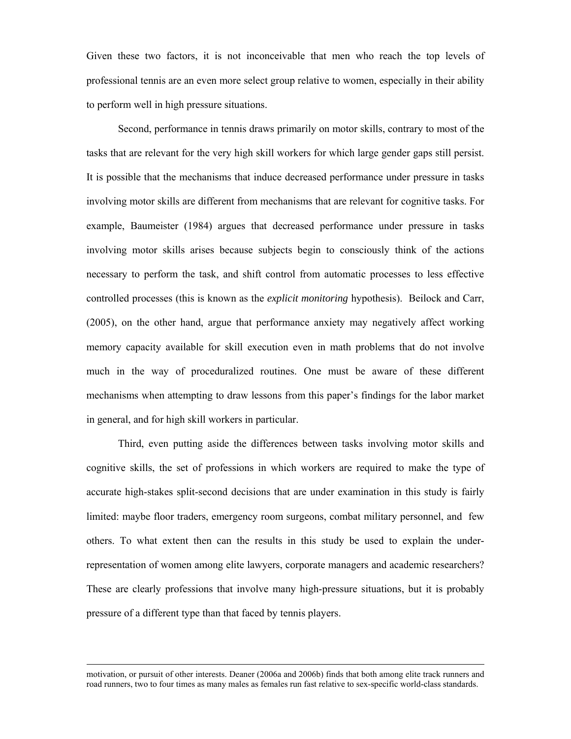Given these two factors, it is not inconceivable that men who reach the top levels of professional tennis are an even more select group relative to women, especially in their ability to perform well in high pressure situations.

Second, performance in tennis draws primarily on motor skills, contrary to most of the tasks that are relevant for the very high skill workers for which large gender gaps still persist. It is possible that the mechanisms that induce decreased performance under pressure in tasks involving motor skills are different from mechanisms that are relevant for cognitive tasks. For example, Baumeister (1984) argues that decreased performance under pressure in tasks involving motor skills arises because subjects begin to consciously think of the actions necessary to perform the task, and shift control from automatic processes to less effective controlled processes (this is known as the *explicit monitoring* hypothesis). Beilock and Carr, (2005), on the other hand, argue that performance anxiety may negatively affect working memory capacity available for skill execution even in math problems that do not involve much in the way of proceduralized routines. One must be aware of these different mechanisms when attempting to draw lessons from this paper's findings for the labor market in general, and for high skill workers in particular.

Third, even putting aside the differences between tasks involving motor skills and cognitive skills, the set of professions in which workers are required to make the type of accurate high-stakes split-second decisions that are under examination in this study is fairly limited: maybe floor traders, emergency room surgeons, combat military personnel, and few others. To what extent then can the results in this study be used to explain the underrepresentation of women among elite lawyers, corporate managers and academic researchers? These are clearly professions that involve many high-pressure situations, but it is probably pressure of a different type than that faced by tennis players.

motivation, or pursuit of other interests. Deaner (2006a and 2006b) finds that both among elite track runners and road runners, two to four times as many males as females run fast relative to sex-specific world-class standards.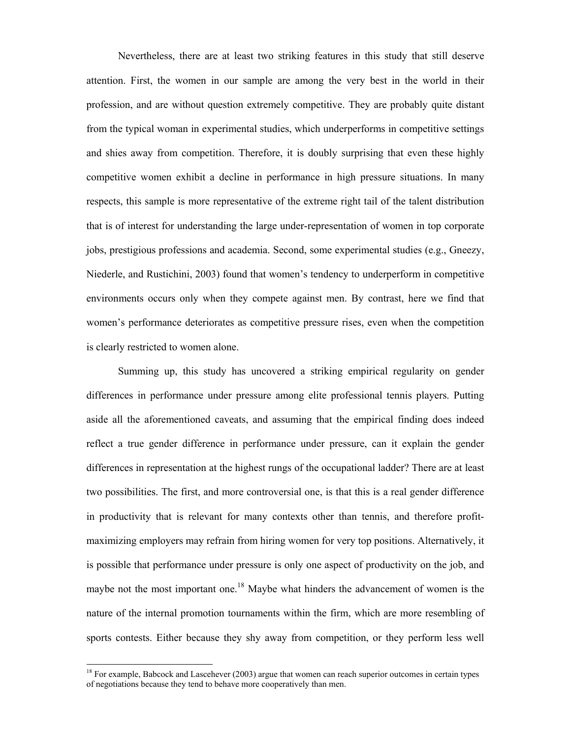Nevertheless, there are at least two striking features in this study that still deserve attention. First, the women in our sample are among the very best in the world in their profession, and are without question extremely competitive. They are probably quite distant from the typical woman in experimental studies, which underperforms in competitive settings and shies away from competition. Therefore, it is doubly surprising that even these highly competitive women exhibit a decline in performance in high pressure situations. In many respects, this sample is more representative of the extreme right tail of the talent distribution that is of interest for understanding the large under-representation of women in top corporate jobs, prestigious professions and academia. Second, some experimental studies (e.g., Gneezy, Niederle, and Rustichini, 2003) found that women's tendency to underperform in competitive environments occurs only when they compete against men. By contrast, here we find that women's performance deteriorates as competitive pressure rises, even when the competition is clearly restricted to women alone.

Summing up, this study has uncovered a striking empirical regularity on gender differences in performance under pressure among elite professional tennis players. Putting aside all the aforementioned caveats, and assuming that the empirical finding does indeed reflect a true gender difference in performance under pressure, can it explain the gender differences in representation at the highest rungs of the occupational ladder? There are at least two possibilities. The first, and more controversial one, is that this is a real gender difference in productivity that is relevant for many contexts other than tennis, and therefore profitmaximizing employers may refrain from hiring women for very top positions. Alternatively, it is possible that performance under pressure is only one aspect of productivity on the job, and maybe not the most important one.<sup>18</sup> Maybe what hinders the advancement of women is the nature of the internal promotion tournaments within the firm, which are more resembling of sports contests. Either because they shy away from competition, or they perform less well

 $\overline{a}$ 

<sup>&</sup>lt;sup>18</sup> For example, Babcock and Lascehever (2003) argue that women can reach superior outcomes in certain types of negotiations because they tend to behave more cooperatively than men.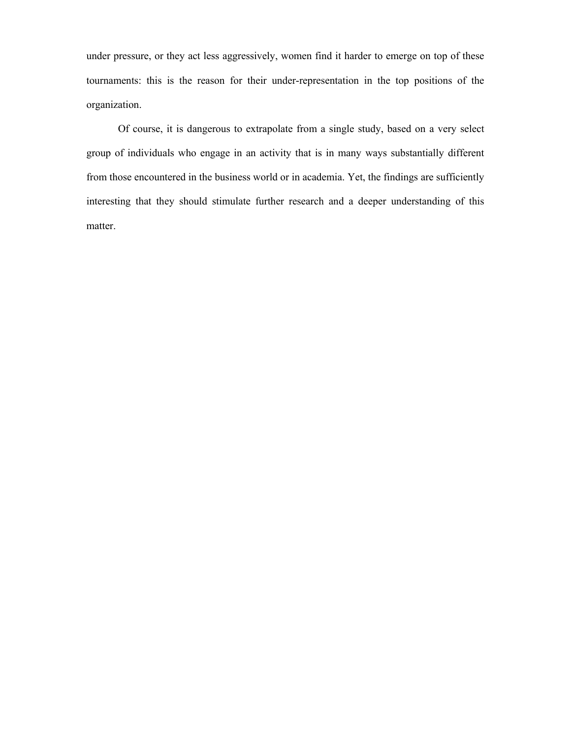under pressure, or they act less aggressively, women find it harder to emerge on top of these tournaments: this is the reason for their under-representation in the top positions of the organization.

Of course, it is dangerous to extrapolate from a single study, based on a very select group of individuals who engage in an activity that is in many ways substantially different from those encountered in the business world or in academia. Yet, the findings are sufficiently interesting that they should stimulate further research and a deeper understanding of this matter.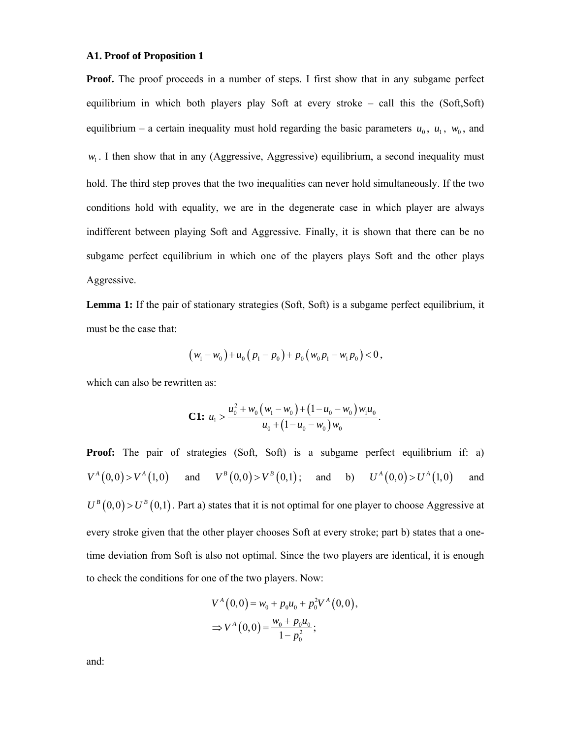### **A1. Proof of Proposition 1**

**Proof.** The proof proceeds in a number of steps. I first show that in any subgame perfect equilibrium in which both players play Soft at every stroke – call this the (Soft,Soft) equilibrium – a certain inequality must hold regarding the basic parameters  $u_0$ ,  $u_1$ ,  $w_0$ , and  $w_1$ . I then show that in any (Aggressive, Aggressive) equilibrium, a second inequality must hold. The third step proves that the two inequalities can never hold simultaneously. If the two conditions hold with equality, we are in the degenerate case in which player are always indifferent between playing Soft and Aggressive. Finally, it is shown that there can be no subgame perfect equilibrium in which one of the players plays Soft and the other plays Aggressive.

Lemma 1: If the pair of stationary strategies (Soft, Soft) is a subgame perfect equilibrium, it must be the case that:

$$
(w_1-w_0)+u_0(p_1-p_0)+p_0(w_0p_1-w_1p_0)<0,
$$

which can also be rewritten as:

C1: 
$$
u_1 > \frac{u_0^2 + w_0 (w_1 - w_0) + (1 - u_0 - w_0) w_1 u_0}{u_0 + (1 - u_0 - w_0) w_0}
$$
.

**Proof:** The pair of strategies (Soft, Soft) is a subgame perfect equilibrium if: a)  $V^A(0,0) > V^A(1,0)$  and  $V^B(0,0) > V^B(0,1)$ ; and b)  $U^A(0,0) > U^A(1,0)$  and  $U^B(0,0) > U^B(0,1)$ . Part a) states that it is not optimal for one player to choose Aggressive at every stroke given that the other player chooses Soft at every stroke; part b) states that a onetime deviation from Soft is also not optimal. Since the two players are identical, it is enough to check the conditions for one of the two players. Now:

$$
V^A(0,0) = w_0 + p_0 u_0 + p_0^2 V^A(0,0),
$$
  
\n
$$
\Rightarrow V^A(0,0) = \frac{w_0 + p_0 u_0}{1 - p_0^2};
$$

and: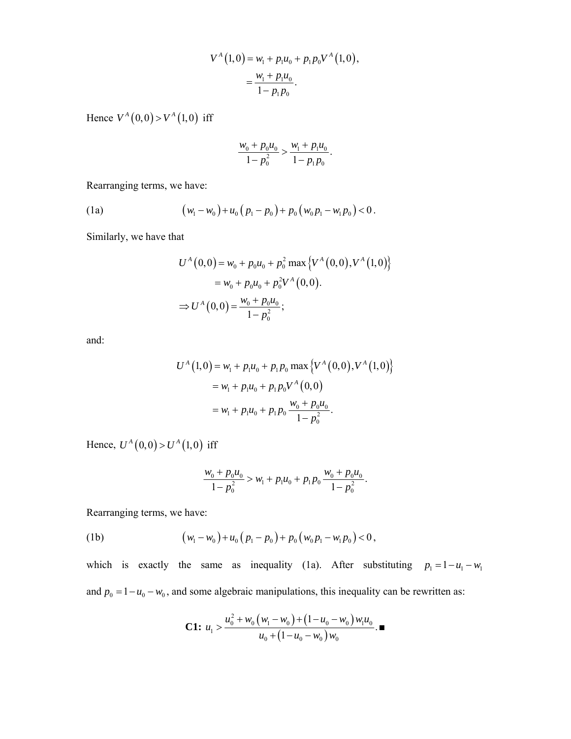$$
V^{A}(1,0) = w_{1} + p_{1}u_{0} + p_{1}p_{0}V^{A}(1,0),
$$
  
=  $\frac{w_{1} + p_{1}u_{0}}{1 - p_{1}p_{0}}$ .

Hence  $V^A(0,0) > V^A(1,0)$  iff

$$
\frac{w_0 + p_0 u_0}{1 - p_0^2} > \frac{w_1 + p_1 u_0}{1 - p_1 p_0}.
$$

Rearranging terms, we have:

(1a) 
$$
(w_1 - w_0) + u_0 (p_1 - p_0) + p_0 (w_0 p_1 - w_1 p_0) < 0.
$$

Similarly, we have that

$$
U^{A}(0,0) = w_{0} + p_{0}u_{0} + p_{0}^{2} \max \{V^{A}(0,0), V^{A}(1,0)\}
$$
  
=  $w_{0} + p_{0}u_{0} + p_{0}^{2}V^{A}(0,0).$   

$$
\Rightarrow U^{A}(0,0) = \frac{w_{0} + p_{0}u_{0}}{1 - p_{0}^{2}};
$$

and:

$$
U^{A}(1,0) = w_{1} + p_{1}u_{0} + p_{1}p_{0} \max \{V^{A}(0,0), V^{A}(1,0)\}
$$
  
=  $w_{1} + p_{1}u_{0} + p_{1}p_{0}V^{A}(0,0)$   
=  $w_{1} + p_{1}u_{0} + p_{1}p_{0} \frac{w_{0} + p_{0}u_{0}}{1 - p_{0}^{2}}$ .

Hence,  $U^A(0,0) > U^A(1,0)$  iff

$$
\frac{w_0 + p_0 u_0}{1 - p_0^2} > w_1 + p_1 u_0 + p_1 p_0 \frac{w_0 + p_0 u_0}{1 - p_0^2}.
$$

Rearranging terms, we have:

(1b) 
$$
(w_1 - w_0) + u_0 (p_1 - p_0) + p_0 (w_0 p_1 - w_1 p_0) < 0,
$$

which is exactly the same as inequality (1a). After substituting  $p_1 = 1 - u_1 - w_1$ and  $p_0 = 1 - u_0 - w_0$ , and some algebraic manipulations, this inequality can be rewritten as:

**C1:** 
$$
u_1 > \frac{u_0^2 + w_0 (w_1 - w_0) + (1 - u_0 - w_0) w_1 u_0}{u_0 + (1 - u_0 - w_0) w_0}
$$
.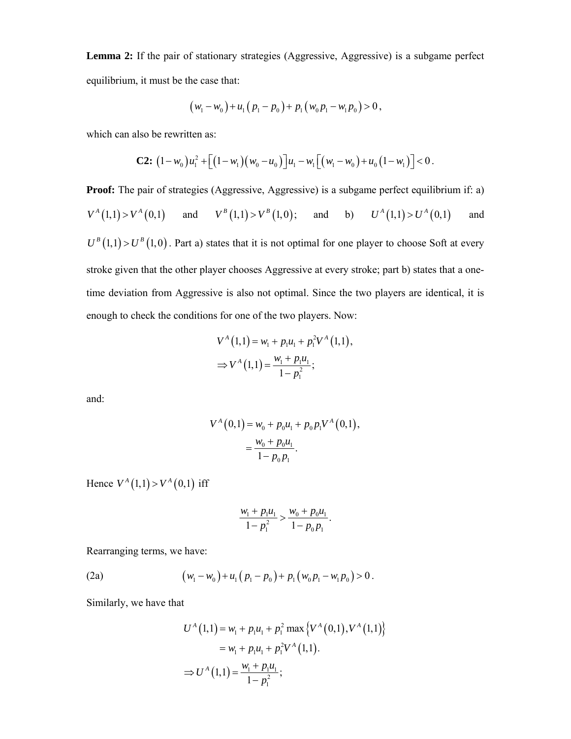**Lemma 2:** If the pair of stationary strategies (Aggressive, Aggressive) is a subgame perfect equilibrium, it must be the case that:

$$
(w_1-w_0)+u_1(p_1-p_0)+p_1(w_0p_1-w_1p_0)>0,
$$

which can also be rewritten as:

**C2:** 
$$
(1 - w_0)u_1^2 + [(1 - w_1)(w_0 - u_0)]u_1 - w_1[(w_1 - w_0) + u_0(1 - w_1)] < 0
$$
.

**Proof:** The pair of strategies (Aggressive, Aggressive) is a subgame perfect equilibrium if: a)  $V^A(1,1) > V^A(0,1)$  and  $V^B(1,1) > V^B(1,0)$ ; and b)  $U^A(1,1) > U^A(0,1)$  and  $U^B(1,1) > U^B(1,0)$ . Part a) states that it is not optimal for one player to choose Soft at every stroke given that the other player chooses Aggressive at every stroke; part b) states that a onetime deviation from Aggressive is also not optimal. Since the two players are identical, it is enough to check the conditions for one of the two players. Now:

$$
V^{A}(1,1) = w_{1} + p_{1}u_{1} + p_{1}^{2}V^{A}(1,1),
$$
  
\n
$$
\Rightarrow V^{A}(1,1) = \frac{w_{1} + p_{1}u_{1}}{1 - p_{1}^{2}};
$$

and:

$$
V^{A}(0,1) = w_{0} + p_{0}u_{1} + p_{0}p_{1}V^{A}(0,1),
$$
  
= 
$$
\frac{w_{0} + p_{0}u_{1}}{1 - p_{0}p_{1}}.
$$

Hence  $V^A(1,1) > V^A(0,1)$  iff

$$
\frac{w_1 + p_1 u_1}{1 - p_1^2} > \frac{w_0 + p_0 u_1}{1 - p_0 p_1}.
$$

Rearranging terms, we have:

(2a) 
$$
(w_1 - w_0) + u_1 (p_1 - p_0) + p_1 (w_0 p_1 - w_1 p_0) > 0.
$$

Similarly, we have that

$$
U^{A}(1,1) = w_{1} + p_{1}u_{1} + p_{1}^{2} \max \{ V^{A}(0,1), V^{A}(1,1) \}
$$
  
=  $w_{1} + p_{1}u_{1} + p_{1}^{2}V^{A}(1,1).$   

$$
\Rightarrow U^{A}(1,1) = \frac{w_{1} + p_{1}u_{1}}{1 - p_{1}^{2}};
$$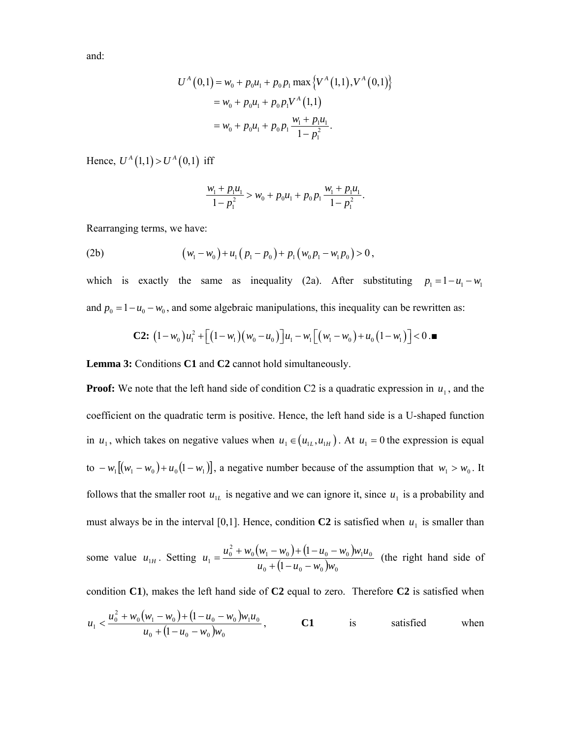and:

$$
U^{A}(0,1) = w_{0} + p_{0}u_{1} + p_{0}p_{1} \max \{V^{A}(1,1), V^{A}(0,1)\}
$$
  
=  $w_{0} + p_{0}u_{1} + p_{0}p_{1}V^{A}(1,1)$   
=  $w_{0} + p_{0}u_{1} + p_{0}p_{1} \frac{w_{1} + p_{1}u_{1}}{1 - p_{1}^{2}}$ .

Hence,  $U^A(1,1) > U^A(0,1)$  iff

$$
\frac{w_1 + p_1 u_1}{1 - p_1^2} > w_0 + p_0 u_1 + p_0 p_1 \frac{w_1 + p_1 u_1}{1 - p_1^2}.
$$

Rearranging terms, we have:

(2b) 
$$
(w_1 - w_0) + u_1 (p_1 - p_0) + p_1 (w_0 p_1 - w_1 p_0) > 0,
$$

which is exactly the same as inequality (2a). After substituting  $p_1 = 1 - u_1 - w_1$ and  $p_0 = 1 - u_0 - w_0$ , and some algebraic manipulations, this inequality can be rewritten as:

**C2:** 
$$
(1 - w_0)u_1^2 + [(1 - w_1)(w_0 - u_0)]u_1 - w_1[(w_1 - w_0) + u_0(1 - w_1)] < 0.
$$

**Lemma 3:** Conditions **C1** and **C2** cannot hold simultaneously.

**Proof:** We note that the left hand side of condition C2 is a quadratic expression in  $u_1$ , and the coefficient on the quadratic term is positive. Hence, the left hand side is a U-shaped function in  $u_1$ , which takes on negative values when  $u_1 \in (u_{1L}, u_{1H})$ . At  $u_1 = 0$  the expression is equal to  $-w_1 [( w_1 - w_0 ) + u_0 (1 - w_1 ) ]$ , a negative number because of the assumption that  $w_1 > w_0$ . It follows that the smaller root  $u_{1L}$  is negative and we can ignore it, since  $u_1$  is a probability and must always be in the interval [0,1]. Hence, condition **C2** is satisfied when  $u_1$  is smaller than

some value 
$$
u_{1H}
$$
. Setting  $u_1 = \frac{u_0^2 + w_0(w_1 - w_0) + (1 - u_0 - w_0)w_1u_0}{u_0 + (1 - u_0 - w_0)w_0}$  (the right hand side of

condition **C1**), makes the left hand side of **C2** equal to zero. Therefore **C2** is satisfied when

$$
u_1 < \frac{u_0^2 + w_0 \left( w_1 - w_0 \right) + \left( 1 - u_0 - w_0 \right) w_1 u_0}{u_0 + \left( 1 - u_0 - w_0 \right) w_0}, \qquad \text{CI} \qquad \text{is} \qquad \text{satisfied} \qquad \text{when}
$$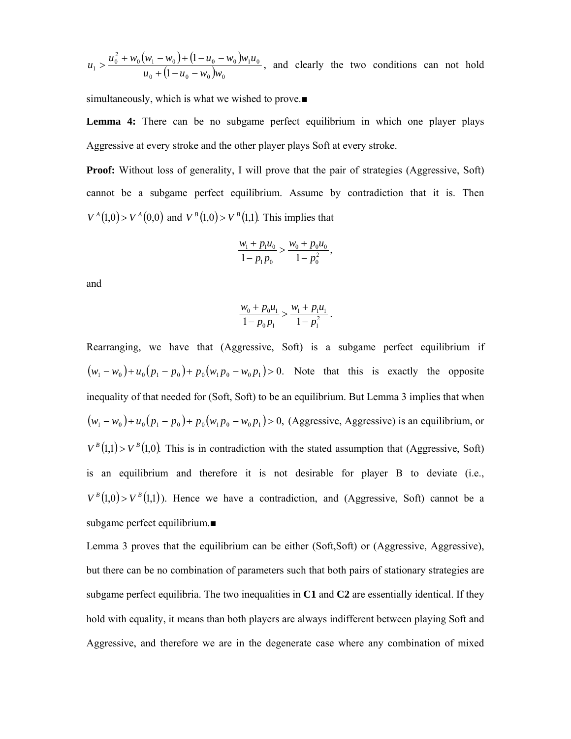$$
u_1 > \frac{u_0^2 + w_0(w_1 - w_0) + (1 - u_0 - w_0)w_1u_0}{u_0 + (1 - u_0 - w_0)w_0},
$$
 and clearly the two conditions can not hold

simultaneously, which is what we wished to prove.■

**Lemma 4:** There can be no subgame perfect equilibrium in which one player plays Aggressive at every stroke and the other player plays Soft at every stroke.

**Proof:** Without loss of generality, I will prove that the pair of strategies (Aggressive, Soft) cannot be a subgame perfect equilibrium. Assume by contradiction that it is. Then  $V^A(1,0) > V^A(0,0)$  and  $V^B(1,0) > V^B(1,1)$ . This implies that

$$
\frac{w_1 + p_1 u_0}{1 - p_1 p_0} > \frac{w_0 + p_0 u_0}{1 - p_0^2},
$$

and

$$
\frac{w_0 + p_0 u_1}{1 - p_0 p_1} > \frac{w_1 + p_1 u_1}{1 - p_1^2}.
$$

Rearranging, we have that (Aggressive, Soft) is a subgame perfect equilibrium if  $(w_1 - w_0) + u_0 (p_1 - p_0) + p_0 (w_1 p_0 - w_0 p_1) > 0$ . Note that this is exactly the opposite inequality of that needed for (Soft, Soft) to be an equilibrium. But Lemma 3 implies that when  $(w_1 - w_0) + u_0 (p_1 - p_0) + p_0 (w_1 p_0 - w_0 p_1) > 0$ , (Aggressive, Aggressive) is an equilibrium, or  $V^B(1,1) > V^B(1,0)$ . This is in contradiction with the stated assumption that (Aggressive, Soft) is an equilibrium and therefore it is not desirable for player B to deviate (i.e.,  $V^B(1,0) > V^B(1,1)$ . Hence we have a contradiction, and (Aggressive, Soft) cannot be a subgame perfect equilibrium.■

Lemma 3 proves that the equilibrium can be either (Soft,Soft) or (Aggressive, Aggressive), but there can be no combination of parameters such that both pairs of stationary strategies are subgame perfect equilibria. The two inequalities in **C1** and **C2** are essentially identical. If they hold with equality, it means than both players are always indifferent between playing Soft and Aggressive, and therefore we are in the degenerate case where any combination of mixed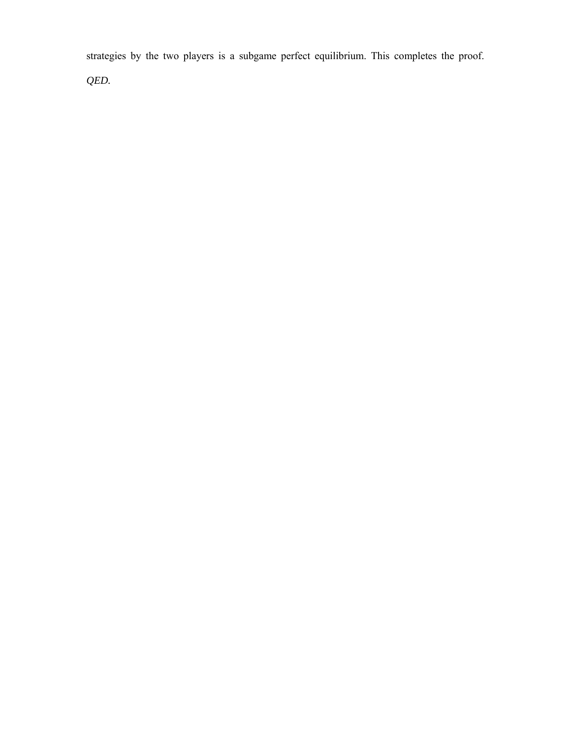strategies by the two players is a subgame perfect equilibrium. This completes the proof.

*QED.*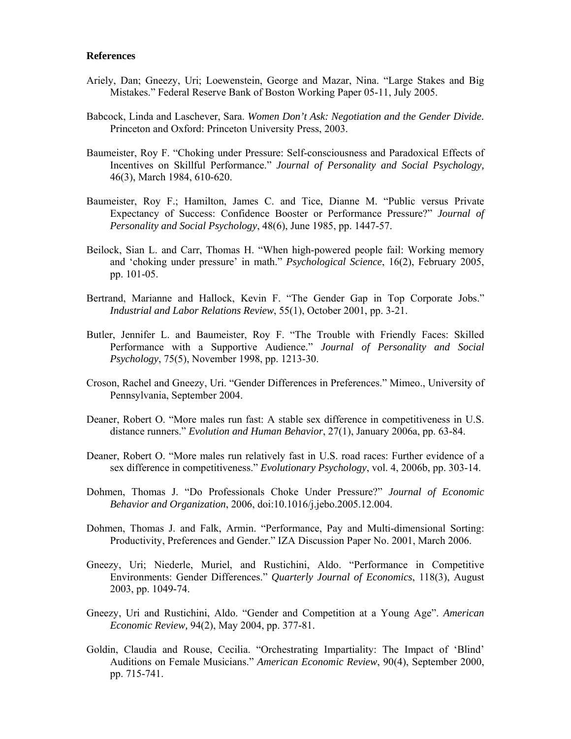#### **References**

- Ariely, Dan; Gneezy, Uri; Loewenstein, George and Mazar, Nina. "Large Stakes and Big Mistakes." Federal Reserve Bank of Boston Working Paper 05-11, July 2005.
- Babcock, Linda and Laschever, Sara. *Women Don't Ask: Negotiation and the Gender Divide.* Princeton and Oxford: Princeton University Press, 2003.
- Baumeister, Roy F. "Choking under Pressure: Self-consciousness and Paradoxical Effects of Incentives on Skillful Performance." *Journal of Personality and Social Psychology,*  46(3), March 1984, 610-620.
- Baumeister, Roy F.; Hamilton, James C. and Tice, Dianne M. "Public versus Private Expectancy of Success: Confidence Booster or Performance Pressure?" *Journal of Personality and Social Psychology*, 48(6), June 1985, pp. 1447-57.
- Beilock, Sian L. and Carr, Thomas H. "When high-powered people fail: Working memory and 'choking under pressure' in math." *Psychological Science*, 16(2), February 2005, pp. 101-05.
- Bertrand, Marianne and Hallock, Kevin F. "The Gender Gap in Top Corporate Jobs." *Industrial and Labor Relations Review*, 55(1), October 2001, pp. 3-21.
- Butler, Jennifer L. and Baumeister, Roy F. "The Trouble with Friendly Faces: Skilled Performance with a Supportive Audience." *Journal of Personality and Social Psychology*, 75(5), November 1998, pp. 1213-30.
- Croson, Rachel and Gneezy, Uri. "Gender Differences in Preferences." Mimeo., University of Pennsylvania, September 2004.
- Deaner, Robert O. "More males run fast: A stable sex difference in competitiveness in U.S. distance runners." *Evolution and Human Behavior*, 27(1), January 2006a, pp. 63-84.
- Deaner, Robert O. "More males run relatively fast in U.S. road races: Further evidence of a sex difference in competitiveness." *Evolutionary Psychology*, vol. 4, 2006b, pp. 303-14.
- Dohmen, Thomas J. "Do Professionals Choke Under Pressure?" *Journal of Economic Behavior and Organization*, 2006, doi:10.1016/j.jebo.2005.12.004.
- Dohmen, Thomas J. and Falk, Armin. "Performance, Pay and Multi-dimensional Sorting: Productivity, Preferences and Gender." IZA Discussion Paper No. 2001, March 2006.
- Gneezy, Uri; Niederle, Muriel, and Rustichini, Aldo. "Performance in Competitive Environments: Gender Differences." *Quarterly Journal of Economics*, 118(3), August 2003, pp. 1049-74.
- Gneezy, Uri and Rustichini, Aldo. "Gender and Competition at a Young Age". *American Economic Review,* 94(2), May 2004, pp. 377-81.
- Goldin, Claudia and Rouse, Cecilia. "Orchestrating Impartiality: The Impact of 'Blind' Auditions on Female Musicians." *American Economic Review*, 90(4), September 2000, pp. 715-741.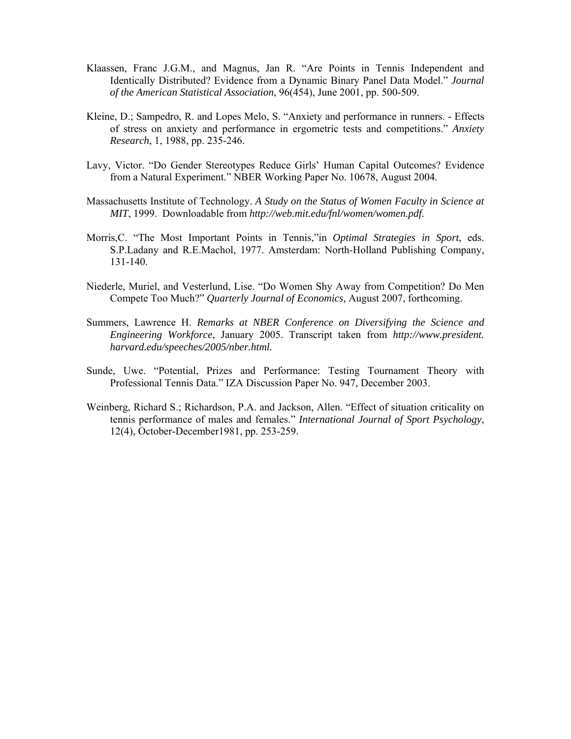- Klaassen, Franc J.G.M., and Magnus, Jan R. "Are Points in Tennis Independent and Identically Distributed? Evidence from a Dynamic Binary Panel Data Model." *Journal of the American Statistical Association*, 96(454), June 2001, pp. 500-509.
- Kleine, D.; Sampedro, R. and Lopes Melo, S. "Anxiety and performance in runners. Effects of stress on anxiety and performance in ergometric tests and competitions." *Anxiety Research*, 1, 1988, pp. 235-246.
- Lavy, Victor. "Do Gender Stereotypes Reduce Girls' Human Capital Outcomes? Evidence from a Natural Experiment." NBER Working Paper No. 10678, August 2004.
- Massachusetts Institute of Technology. *A Study on the Status of Women Faculty in Science at MIT*, 1999. Downloadable from *http://web.mit.edu/fnl/women/women.pdf.*
- Morris,C. "The Most Important Points in Tennis,"in *Optimal Strategies in Sport*, eds. S.P.Ladany and R.E.Machol, 1977. Amsterdam: North-Holland Publishing Company, 131-140.
- Niederle, Muriel, and Vesterlund, Lise. "Do Women Shy Away from Competition? Do Men Compete Too Much?" *Quarterly Journal of Economics,* August 2007, forthcoming.
- Summers, Lawrence H. *Remarks at NBER Conference on Diversifying the Science and Engineering Workforce*, January 2005. Transcript taken from *http://www.president. harvard.edu/speeches/2005/nber.html.*
- Sunde, Uwe. "Potential, Prizes and Performance: Testing Tournament Theory with Professional Tennis Data." IZA Discussion Paper No. 947, December 2003.
- Weinberg, Richard S.; Richardson, P.A. and Jackson, Allen. "Effect of situation criticality on tennis performance of males and females." *International Journal of Sport Psychology*, 12(4), October-December1981, pp. 253-259.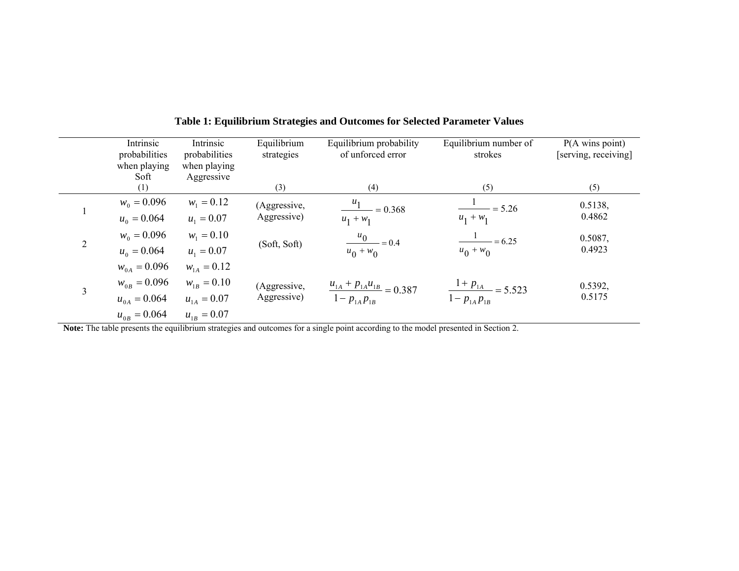|   | Intrinsic<br>probabilities    | Intrinsic<br>probabilities | Equilibrium<br>strategies | Equilibrium probability<br>of unforced error | Equilibrium number of<br>strokes               | $P(A \text{ wins point})$<br>[serving, receiving] |
|---|-------------------------------|----------------------------|---------------------------|----------------------------------------------|------------------------------------------------|---------------------------------------------------|
|   | when playing<br>Soft          | when playing<br>Aggressive |                           |                                              |                                                |                                                   |
|   | (1)                           |                            | (3)                       | (4)                                          | (5)                                            | (5)                                               |
|   | $w_0 = 0.096$                 | $w_1 = 0.12$               | (Aggressive,              | $\frac{u_1}{u_2} = 0.368$                    | $\frac{1}{\cancel{0}1} = 5.26$                 | 0.5138,                                           |
|   | $u_0 = 0.064$<br>$u_1 = 0.07$ |                            | Aggressive)               | $u_1 + w_1$                                  | $u_1 + w_1$                                    | 0.4862                                            |
| 2 | $w_0 = 0.096$                 | $w_1 = 0.10$               | (Soft, Soft)              |                                              | $\frac{1}{\cancel{6}} = 6.25$                  | 0.5087,                                           |
|   | $u_0 = 0.064$                 | $u_1 = 0.07$               |                           | $\frac{u_0}{u_0 + w_0} = 0.4$                | $u_0 + w_0$                                    | 0.4923                                            |
|   | $w_{0A} = 0.096$              | $w_{1A} = 0.12$            |                           |                                              |                                                |                                                   |
| 3 | $w_{0B} = 0.096$              | $w_{1B} = 0.10$            | (Aggressive,              | $\frac{u_{1A} + p_{1A} u_{1B}}{2} = 0.387$   | $\frac{1 + p_{1A}}{1 - p_{1A} p_{1B}} = 5.523$ | 0.5392,                                           |
|   | $u_{0A} = 0.064$              | $u_{1A} = 0.07$            | Aggressive)               | $1-p_{1A}p_{1B}$                             |                                                | 0.5175                                            |
|   | $u_{0B} = 0.064$              | $u_{1R} = 0.07$            |                           |                                              |                                                |                                                   |

**Table 1: Equilibrium Strategies and Outcomes for Selected Parameter Values** 

**Note:** The table presents the equilibrium strategies and outcomes for a single point according to the model presented in Section 2.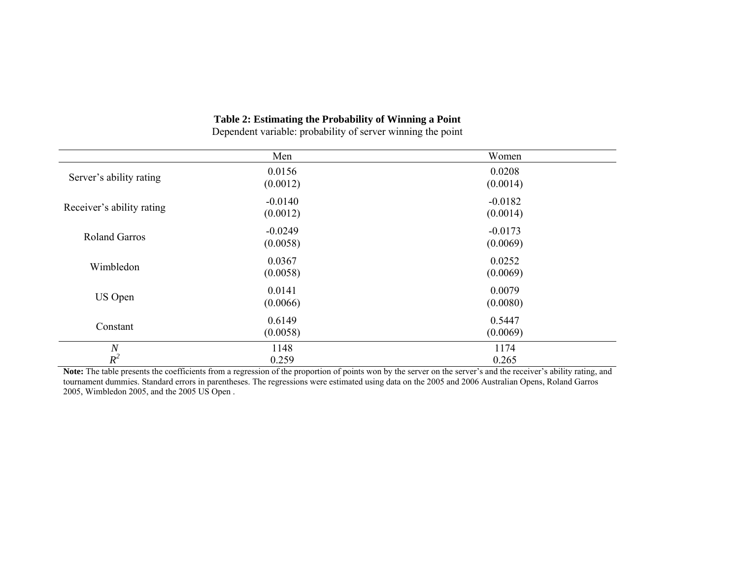# **Table 2: Estimating the Probability of Winning a Point**

|                           | Men                   | Women                 |  |
|---------------------------|-----------------------|-----------------------|--|
| Server's ability rating   | 0.0156<br>(0.0012)    | 0.0208<br>(0.0014)    |  |
| Receiver's ability rating | $-0.0140$<br>(0.0012) | $-0.0182$<br>(0.0014) |  |
| <b>Roland Garros</b>      | $-0.0249$<br>(0.0058) | $-0.0173$<br>(0.0069) |  |
| Wimbledon                 | 0.0367<br>(0.0058)    | 0.0252<br>(0.0069)    |  |
| US Open                   | 0.0141<br>(0.0066)    | 0.0079<br>(0.0080)    |  |
| Constant                  | 0.6149<br>(0.0058)    | 0.5447<br>(0.0069)    |  |
| $\boldsymbol{N}$<br>$R^2$ | 1148<br>0.259         | 1174<br>0.265         |  |

Dependent variable: probability of server winning the point

Note: The table presents the coefficients from a regression of the proportion of points won by the server on the server's and the receiver's ability rating, and tournament dummies. Standard errors in parentheses. The regressions were estimated using data on the 2005 and 2006 Australian Opens, Roland Garros 2005, Wimbledon 2005, and the 2005 US Open .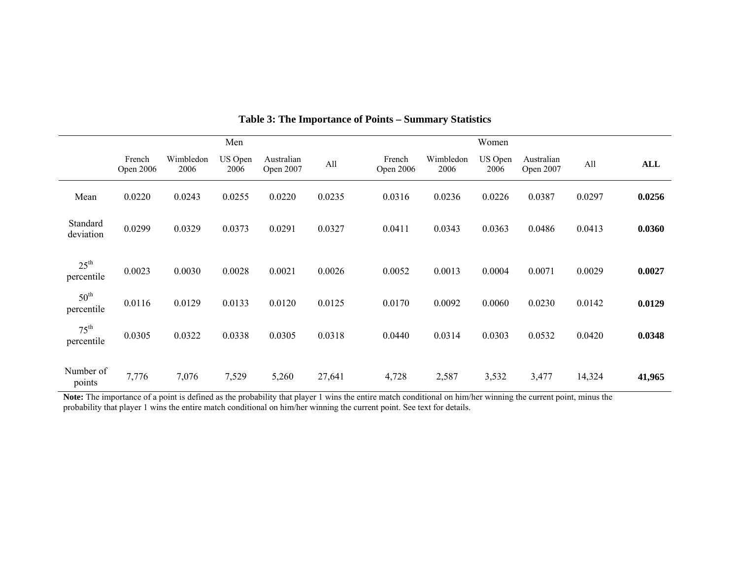|                                |                     |                   | Men             |                         |        |                     |                   | Women           |                         |        |            |
|--------------------------------|---------------------|-------------------|-----------------|-------------------------|--------|---------------------|-------------------|-----------------|-------------------------|--------|------------|
|                                | French<br>Open 2006 | Wimbledon<br>2006 | US Open<br>2006 | Australian<br>Open 2007 | All    | French<br>Open 2006 | Wimbledon<br>2006 | US Open<br>2006 | Australian<br>Open 2007 | All    | <b>ALL</b> |
| Mean                           | 0.0220              | 0.0243            | 0.0255          | 0.0220                  | 0.0235 | 0.0316              | 0.0236            | 0.0226          | 0.0387                  | 0.0297 | 0.0256     |
| Standard<br>deviation          | 0.0299              | 0.0329            | 0.0373          | 0.0291                  | 0.0327 | 0.0411              | 0.0343            | 0.0363          | 0.0486                  | 0.0413 | 0.0360     |
| $25^{\text{th}}$<br>percentile | 0.0023              | 0.0030            | 0.0028          | 0.0021                  | 0.0026 | 0.0052              | 0.0013            | 0.0004          | 0.0071                  | 0.0029 | 0.0027     |
| $50^{\text{th}}$<br>percentile | 0.0116              | 0.0129            | 0.0133          | 0.0120                  | 0.0125 | 0.0170              | 0.0092            | 0.0060          | 0.0230                  | 0.0142 | 0.0129     |
| $75^{\text{th}}$<br>percentile | 0.0305              | 0.0322            | 0.0338          | 0.0305                  | 0.0318 | 0.0440              | 0.0314            | 0.0303          | 0.0532                  | 0.0420 | 0.0348     |
| Number of<br>points            | 7,776               | 7,076             | 7,529           | 5,260                   | 27,641 | 4,728               | 2,587             | 3,532           | 3,477                   | 14,324 | 41,965     |

# **Table 3: The Importance of Points – Summary Statistics**

**Note:** The importance of a point is defined as the probability that player 1 wins the entire match conditional on him/her winning the current point, minus the probability that player 1 wins the entire match conditional on him/her winning the current point. See text for details.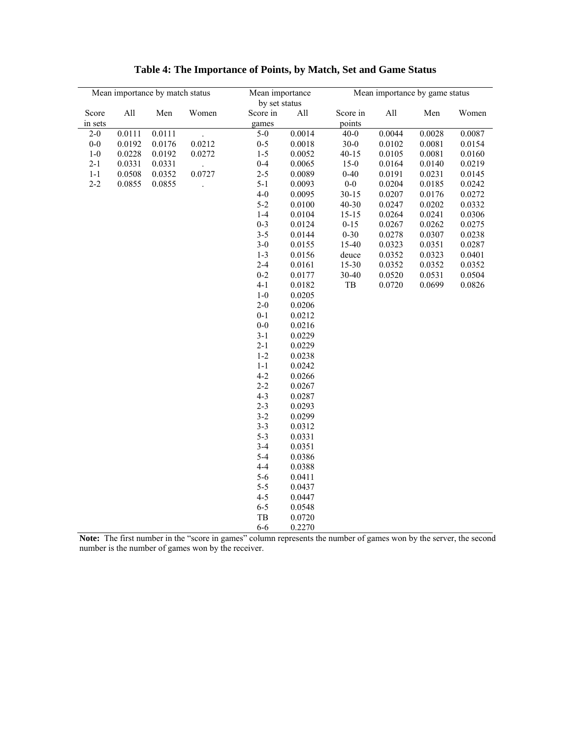|                  |        | Mean importance by match status |        | Mean importance |        |           |                | Mean importance by game status |              |
|------------------|--------|---------------------------------|--------|-----------------|--------|-----------|----------------|--------------------------------|--------------|
|                  |        |                                 |        | by set status   |        |           |                |                                |              |
| Score            | All    | Men                             | Women  | Score in        | All    | Score in  | $\mathbf{All}$ | Men                            | Women        |
| in sets          |        |                                 |        | games           |        | points    |                |                                |              |
| $2 - 0$          | 0.0111 | 0.0111                          |        | $5-0$           | 0.0014 | $40 - 0$  | 0.0044         | 0.0028                         | 0.0087       |
| $0-0$            | 0.0192 | 0.0176                          | 0.0212 | $0 - 5$         | 0.0018 | $30 - 0$  | 0.0102         | 0.0081                         | 0.0154       |
| $1-0$            | 0.0228 | 0.0192                          | 0.0272 | $1 - 5$         | 0.0052 | $40 - 15$ | 0.0105         | 0.0081                         | 0.0160       |
| $2 - 1$          | 0.0331 | 0.0331                          |        | $0 - 4$         | 0.0065 | $15-0$    | 0.0164         | 0.0140                         | 0.0219       |
| $1 - 1$          | 0.0508 | 0.0352                          | 0.0727 | $2 - 5$         | 0.0089 | $0 - 40$  | 0.0191         | 0.0231                         | 0.0145       |
| $2 - 2$          | 0.0855 | 0.0855                          |        | $5 - 1$         | 0.0093 | $0-0$     | 0.0204         | 0.0185                         | 0.0242       |
|                  |        |                                 |        | $4 - 0$         | 0.0095 | $30 - 15$ | 0.0207         | 0.0176                         | 0.0272       |
|                  |        |                                 |        | $5 - 2$         | 0.0100 | 40-30     | 0.0247         | 0.0202                         | 0.0332       |
|                  |        |                                 |        | $1-4$           | 0.0104 | $15 - 15$ | 0.0264         | 0.0241                         | 0.0306       |
|                  |        |                                 |        | $0 - 3$         | 0.0124 | $0 - 15$  | 0.0267         | 0.0262                         | 0.0275       |
|                  |        |                                 |        | $3 - 5$         | 0.0144 | $0 - 30$  | 0.0278         | 0.0307                         | 0.0238       |
|                  |        |                                 |        | $3-0$           | 0.0155 | 15-40     | 0.0323         | 0.0351                         | 0.0287       |
|                  |        |                                 |        | $1 - 3$         | 0.0156 | deuce     | 0.0352         | 0.0323                         | 0.0401       |
|                  |        |                                 |        | $2 - 4$         | 0.0161 | 15-30     | 0.0352         | 0.0352                         | 0.0352       |
|                  |        |                                 |        | $0 - 2$         | 0.0177 | 30-40     | 0.0520         | 0.0531                         | 0.0504       |
|                  |        |                                 |        | $4 - 1$         | 0.0182 | TB        | 0.0720         | 0.0699                         | 0.0826       |
|                  |        |                                 |        | $1-0$           | 0.0205 |           |                |                                |              |
|                  |        |                                 |        | $2 - 0$         | 0.0206 |           |                |                                |              |
|                  |        |                                 |        | $0 - 1$         | 0.0212 |           |                |                                |              |
|                  |        |                                 |        | $0-0$           | 0.0216 |           |                |                                |              |
|                  |        |                                 |        | $3 - 1$         | 0.0229 |           |                |                                |              |
|                  |        |                                 |        | $2 - 1$         | 0.0229 |           |                |                                |              |
|                  |        |                                 |        | $1-2$           | 0.0238 |           |                |                                |              |
|                  |        |                                 |        | $1 - 1$         | 0.0242 |           |                |                                |              |
|                  |        |                                 |        | $4 - 2$         | 0.0266 |           |                |                                |              |
|                  |        |                                 |        | $2 - 2$         | 0.0267 |           |                |                                |              |
|                  |        |                                 |        | $4 - 3$         | 0.0287 |           |                |                                |              |
|                  |        |                                 |        | $2 - 3$         | 0.0293 |           |                |                                |              |
|                  |        |                                 |        | $3 - 2$         | 0.0299 |           |                |                                |              |
|                  |        |                                 |        | $3 - 3$         | 0.0312 |           |                |                                |              |
|                  |        |                                 |        | $5 - 3$         | 0.0331 |           |                |                                |              |
|                  |        |                                 |        | $3 - 4$         | 0.0351 |           |                |                                |              |
|                  |        |                                 |        | $5 - 4$         | 0.0386 |           |                |                                |              |
|                  |        |                                 |        | $4 - 4$         | 0.0388 |           |                |                                |              |
|                  |        |                                 |        | $5-6$           | 0.0411 |           |                |                                |              |
|                  |        |                                 |        | $5 - 5$         | 0.0437 |           |                |                                |              |
|                  |        |                                 |        | $4 - 5$         | 0.0447 |           |                |                                |              |
|                  |        |                                 |        | $6 - 5$         | 0.0548 |           |                |                                |              |
|                  |        |                                 |        | $_{\rm{TB}}$    | 0.0720 |           |                |                                |              |
|                  |        |                                 |        | $6 - 6$         | 0.2270 |           |                |                                |              |
| $NT - 4$<br>TT1. | r.     |                                 | $cc -$ | , 22<br>$-1$    |        | £         |                |                                | $\mathbf{1}$ |

**Table 4: The Importance of Points, by Match, Set and Game Status**

**Note:** The first number in the "score in games" column represents the number of games won by the server, the second number is the number of games won by the receiver.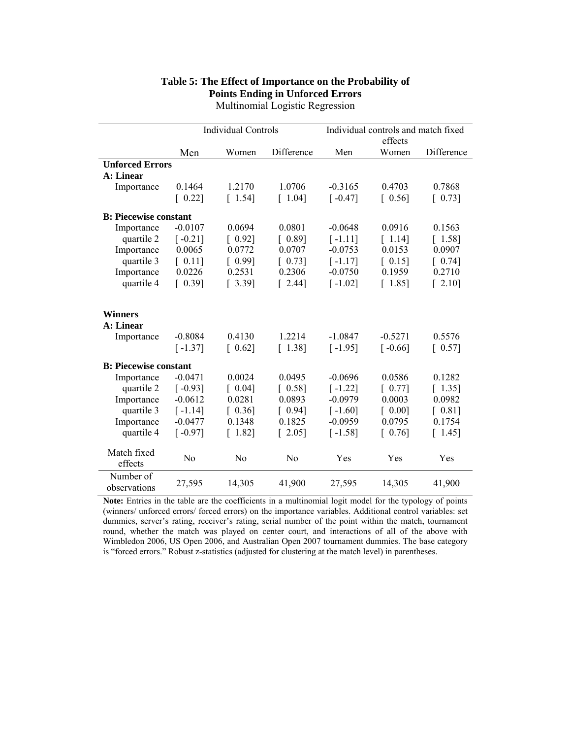|                               | <b>Individual Controls</b>           |                                      |                      | Individual controls and match fixed<br>effects |                       |            |  |
|-------------------------------|--------------------------------------|--------------------------------------|----------------------|------------------------------------------------|-----------------------|------------|--|
|                               | Men                                  | Women                                | Difference           | Men                                            | Women                 | Difference |  |
| <b>Unforced Errors</b>        |                                      |                                      |                      |                                                |                       |            |  |
| A: Linear                     |                                      |                                      |                      |                                                |                       |            |  |
| Importance                    | 0.1464                               | 1.2170                               | 1.0706               | $-0.3165$                                      | 0.4703                | 0.7868     |  |
|                               | $\begin{bmatrix} 0.22 \end{bmatrix}$ | [1.54]                               | [1.04]               | $\lceil -0.47 \rceil$                          | [0.56]                | [0.73]     |  |
| <b>B</b> : Piecewise constant |                                      |                                      |                      |                                                |                       |            |  |
| Importance                    | $-0.0107$                            | 0.0694                               | 0.0801               | $-0.0648$                                      | 0.0916                | 0.1563     |  |
| quartile 2                    | $[-0.21]$                            | [0.92]                               | [0.89]               | $[-1.11]$                                      | [1.14]                | [1.58]     |  |
| Importance                    | 0.0065                               | 0.0772                               | 0.0707               | $-0.0753$                                      | 0.0153                | 0.0907     |  |
| quartile 3                    | $\begin{bmatrix} 0.11 \end{bmatrix}$ | [0.99]                               | [0.73]               | $[-1.17]$                                      | [0.15]                | [0.74]     |  |
| Importance                    | 0.0226                               | 0.2531                               | 0.2306               | $-0.0750$                                      | 0.1959                | 0.2710     |  |
| quartile 4                    | [0.39]                               | [3.39]                               | [2.44]               | $[-1.02]$                                      | [1.85]                | [2.10]     |  |
|                               |                                      |                                      |                      |                                                |                       |            |  |
| <b>Winners</b>                |                                      |                                      |                      |                                                |                       |            |  |
| A: Linear                     |                                      |                                      |                      |                                                |                       |            |  |
| Importance                    | $-0.8084$                            | 0.4130                               | 1.2214               | $-1.0847$                                      | $-0.5271$             | 0.5576     |  |
|                               | $[-1.37]$                            | $\begin{bmatrix} 0.62 \end{bmatrix}$ | [1.38]               | $[-1.95]$                                      | $\lceil -0.66 \rceil$ | $[0.57]$   |  |
| <b>B</b> : Piecewise constant |                                      |                                      |                      |                                                |                       |            |  |
| Importance                    | $-0.0471$                            | 0.0024                               | 0.0495               | $-0.0696$                                      | 0.0586                | 0.1282     |  |
| quartile 2                    | $[-0.93]$                            | [0.04]                               | [0.58]               | $[-1.22]$                                      | [0.77]                | [1.35]     |  |
| Importance                    | $-0.0612$                            | 0.0281                               | 0.0893               | $-0.0979$                                      | 0.0003                | 0.0982     |  |
| quartile 3                    | $[-1.14]$                            | [0.36]                               | [0.94]               | $[-1.60]$                                      | [0.00]                | [0.81]     |  |
| Importance                    | $-0.0477$                            | 0.1348                               | 0.1825               | $-0.0959$                                      | 0.0795                | 0.1754     |  |
| quartile 4                    | $[-0.97]$                            | [1.82]                               | $\lceil 2.05 \rceil$ | $[-1.58]$                                      | [0.76]                | [1.45]     |  |
| Match fixed                   | N <sub>o</sub>                       | N <sub>0</sub>                       |                      |                                                |                       | Yes        |  |
| effects                       |                                      |                                      | N <sub>0</sub>       | Yes                                            | Yes                   |            |  |
| Number of<br>observations     | 27,595                               | 14,305                               | 41,900               | 27,595                                         | 14,305                | 41,900     |  |

# **Table 5: The Effect of Importance on the Probability of Points Ending in Unforced Errors**

Multinomial Logistic Regression

Note: Entries in the table are the coefficients in a multinomial logit model for the typology of points (winners/ unforced errors/ forced errors) on the importance variables. Additional control variables: set dummies, server's rating, receiver's rating, serial number of the point within the match, tournament round, whether the match was played on center court, and interactions of all of the above with Wimbledon 2006, US Open 2006, and Australian Open 2007 tournament dummies. The base category is "forced errors." Robust z-statistics (adjusted for clustering at the match level) in parentheses.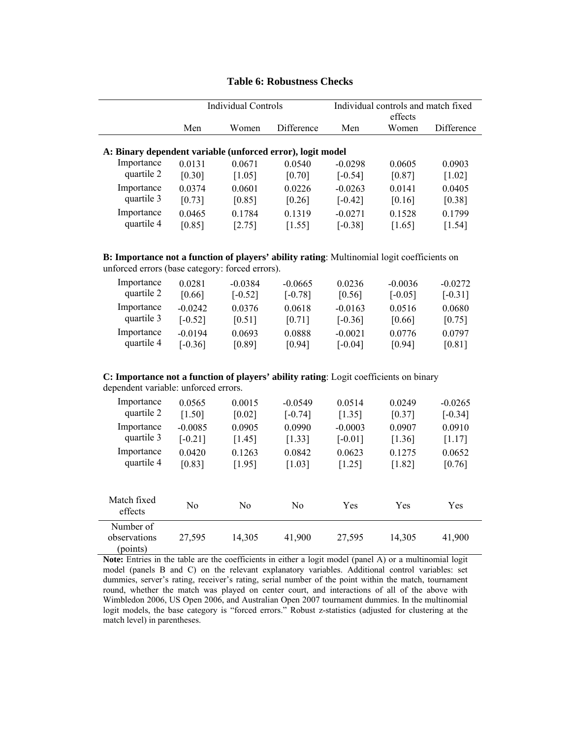|                                                            |           | <b>Individual Controls</b> |            | Individual controls and match fixed |                  |            |  |  |  |
|------------------------------------------------------------|-----------|----------------------------|------------|-------------------------------------|------------------|------------|--|--|--|
|                                                            | Men       | Women                      | Difference | Men                                 | effects<br>Women | Difference |  |  |  |
|                                                            |           |                            |            |                                     |                  |            |  |  |  |
| A: Binary dependent variable (unforced error), logit model |           |                            |            |                                     |                  |            |  |  |  |
| Importance                                                 | 0.0131    | 0.0671                     | 0.0540     | $-0.0298$                           | 0.0605           | 0.0903     |  |  |  |
| quartile 2                                                 | [0.30]    | [1.05]                     | [0.70]     | $[-0.54]$                           | [0.87]           | $[1.02]$   |  |  |  |
| Importance                                                 | 0.0374    | 0.0601                     | 0 0 2 2 6  | $-0.0263$                           | 0.0141           | 0.0405     |  |  |  |
| quartile 3                                                 | [0.73]    | [0.85]                     | [0.26]     | $[-0.42]$                           | [0.16]           | [0.38]     |  |  |  |
| Importance                                                 | 0 0 4 6 5 | 0 1 7 8 4                  | 0.1319     | $-0.0271$                           | 0.1528           | 0.1799     |  |  |  |
| quartile 4                                                 | [0.85]    | [2.75]                     | [1.55]     | $[-0.38]$                           | [1.65]           | [1.54]     |  |  |  |
|                                                            |           |                            |            |                                     |                  |            |  |  |  |

## **Table 6: Robustness Checks**

**B: Importance not a function of players' ability rating**: Multinomial logit coefficients on unforced errors (base category: forced errors).

| Importance | 0.0281    | $-0.0384$ | $-0.0665$ | 0.0236    | $-0.0036$ | $-0.0272$ |
|------------|-----------|-----------|-----------|-----------|-----------|-----------|
| quartile 2 | [0.66]    | $[-0.52]$ | $[-0.78]$ | [0.56]    | $[-0.05]$ | $[-0.31]$ |
| Importance | $-0.0242$ | 0.0376    | 0.0618    | $-0.0163$ | 0.0516    | 0.0680    |
| quartile 3 | $[-0.52]$ | [0.51]    | [0.71]    | $[-0.36]$ | 0.66      | [0.75]    |
| Importance | $-0.0194$ | 0.0693    | 0.0888    | $-0.0021$ | 0.0776    | 0.0797    |
| quartile 4 | $[-0.36]$ | [0.89]    | [0.94]    | $[-0.04]$ | [0.94]    | [0.81]    |

## **C: Importance not a function of players' ability rating**: Logit coefficients on binary

dependent variable: unforced errors.

÷

| Importance                            | 0.0565         | 0.0015         | $-0.0549$      | 0.0514    | 0.0249 | $-0.0265$  |
|---------------------------------------|----------------|----------------|----------------|-----------|--------|------------|
| quartile 2                            | [1.50]         | [0.02]         | $[-0.74]$      | [1.35]    | [0.37] | $[-0.34]$  |
| Importance                            | $-0.0085$      | 0.0905         | 0.0990         | $-0.0003$ | 0.0907 | 0.0910     |
| quartile 3                            | $[-0.21]$      | [1.45]         | [1.33]         | $[-0.01]$ | [1.36] | [1.17]     |
| Importance                            | 0.0420         | 0.1263         | 0.0842         | 0.0623    | 0.1275 | 0.0652     |
| quartile 4                            | [0.83]         | [1.95]         | [1.03]         | $[1.25]$  | [1.82] | [0.76]     |
| Match fixed<br>effects                | N <sub>0</sub> | N <sub>0</sub> | N <sub>0</sub> | Yes       | Yes    | <b>Yes</b> |
| Number of<br>observations<br>(points) | 27,595         | 14,305         | 41,900         | 27,595    | 14,305 | 41,900     |

**Note:** Entries in the table are the coefficients in either a logit model (panel A) or a multinomial logit model (panels B and C) on the relevant explanatory variables. Additional control variables: set dummies, server's rating, receiver's rating, serial number of the point within the match, tournament round, whether the match was played on center court, and interactions of all of the above with Wimbledon 2006, US Open 2006, and Australian Open 2007 tournament dummies. In the multinomial logit models, the base category is "forced errors." Robust z-statistics (adjusted for clustering at the match level) in parentheses.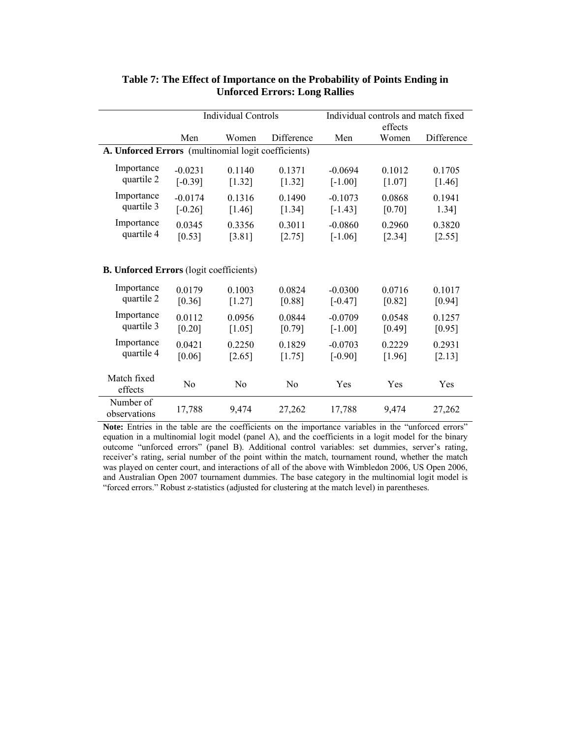|                                                     |                        | Individual Controls |                    | Individual controls and match fixed |                    |                    |  |  |  |
|-----------------------------------------------------|------------------------|---------------------|--------------------|-------------------------------------|--------------------|--------------------|--|--|--|
|                                                     |                        |                     |                    |                                     | effects            |                    |  |  |  |
|                                                     | Men                    | Women               | Difference         | Men                                 | Women              | Difference         |  |  |  |
| A. Unforced Errors (multinomial logit coefficients) |                        |                     |                    |                                     |                    |                    |  |  |  |
| Importance<br>quartile 2                            | $-0.0231$<br>$[-0.39]$ | 0.1140<br>[1.32]    | 0.1371<br>[1.32]   | $-0.0694$<br>$[-1.00]$              | 0.1012<br>$[1.07]$ | 0.1705<br>[1.46]   |  |  |  |
| Importance<br>quartile 3                            | $-0.0174$<br>$[-0.26]$ | 0.1316<br>[1.46]    | 0.1490<br>[1.34]   | $-0.1073$<br>$[-1.43]$              | 0.0868<br>[0.70]   | 0.1941<br>1.34]    |  |  |  |
| Importance<br>quartile 4                            | 0.0345<br>[0.53]       | 0.3356<br>[3.81]    | 0.3011<br>[2.75]   | $-0.0860$<br>$[-1.06]$              | 0.2960<br>[2.34]   | 0.3820<br>$[2.55]$ |  |  |  |
| <b>B. Unforced Errors</b> (logit coefficients)      |                        |                     |                    |                                     |                    |                    |  |  |  |
| Importance<br>quartile 2                            | 0.0179<br>[0.36]       | 0.1003<br>$[1.27]$  | 0.0824<br>[0.88]   | $-0.0300$<br>$[-0.47]$              | 0.0716<br>[0.82]   | 0.1017<br>[0.94]   |  |  |  |
| Importance<br>quartile 3                            | 0.0112<br>[0.20]       | 0.0956<br>$[1.05]$  | 0.0844<br>$[0.79]$ | $-0.0709$<br>$[-1.00]$              | 0.0548<br>$[0.49]$ | 0.1257<br>[0.95]   |  |  |  |
| Importance<br>quartile 4                            | 0.0421<br>[0.06]       | 0.2250<br>$[2.65]$  | 0.1829<br>[1.75]   | $-0.0703$<br>$[-0.90]$              | 0.2229<br>[1.96]   | 0.2931<br>[2.13]   |  |  |  |
| Match fixed<br>effects                              | N <sub>0</sub>         | N <sub>0</sub>      | N <sub>0</sub>     | Yes                                 | Yes                | Yes                |  |  |  |
| Number of<br>observations                           | 17,788                 | 9,474               | 27,262             | 17,788                              | 9,474              | 27,262             |  |  |  |

## **Table 7: The Effect of Importance on the Probability of Points Ending in Unforced Errors: Long Rallies**

Note: Entries in the table are the coefficients on the importance variables in the "unforced errors" equation in a multinomial logit model (panel A), and the coefficients in a logit model for the binary outcome "unforced errors" (panel B). Additional control variables: set dummies, server's rating, receiver's rating, serial number of the point within the match, tournament round, whether the match was played on center court, and interactions of all of the above with Wimbledon 2006, US Open 2006, and Australian Open 2007 tournament dummies. The base category in the multinomial logit model is "forced errors." Robust z-statistics (adjusted for clustering at the match level) in parentheses.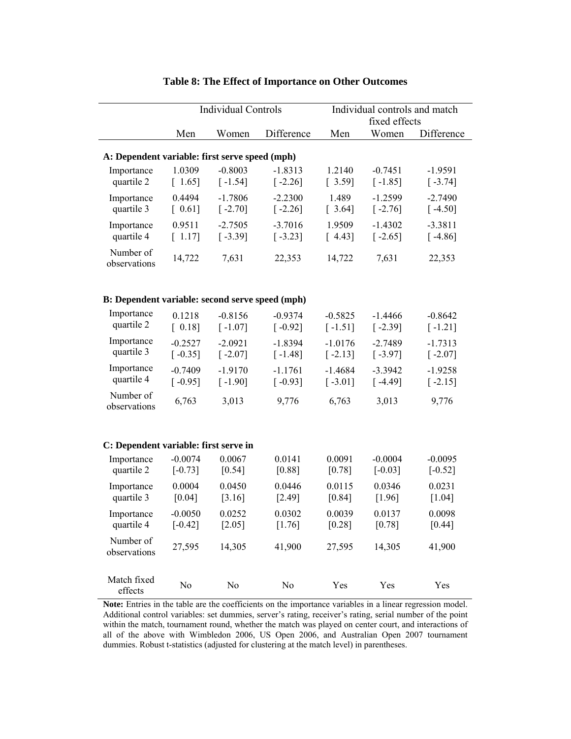|                                                 | <b>Individual Controls</b>         |                        |                        | Individual controls and match |                        |                        |  |
|-------------------------------------------------|------------------------------------|------------------------|------------------------|-------------------------------|------------------------|------------------------|--|
|                                                 |                                    |                        |                        |                               | fixed effects          |                        |  |
|                                                 | Men                                | Women                  | Difference             | Men                           | Women                  | Difference             |  |
| A: Dependent variable: first serve speed (mph)  |                                    |                        |                        |                               |                        |                        |  |
| Importance<br>quartile 2                        | 1.0309<br>$\lceil 1.65 \rceil$     | $-0.8003$<br>$[-1.54]$ | $-1.8313$<br>$[-2.26]$ | 1.2140<br>[3.59]              | $-0.7451$<br>$[-1.85]$ | $-1.9591$<br>$[-3.74]$ |  |
| Importance<br>quartile 3                        | 0.4494<br>$\left[ 0.61 \right]$    | $-1.7806$<br>$[-2.70]$ | $-2.2300$<br>$[-2.26]$ | 1.489<br>$[3.64]$             | $-1.2599$<br>$[-2.76]$ | $-2.7490$<br>$[-4.50]$ |  |
| Importance<br>quartile 4                        | 0.9511<br>[1.17]                   | $-2.7505$<br>$[-3.39]$ | $-3.7016$<br>$[-3.23]$ | 1.9509<br>[4.43]              | $-1.4302$<br>$[-2.65]$ | $-3.3811$<br>$[-4.86]$ |  |
| Number of<br>observations                       | 14,722                             | 7,631                  | 22,353                 | 14,722                        | 7,631                  | 22,353                 |  |
| B: Dependent variable: second serve speed (mph) |                                    |                        |                        |                               |                        |                        |  |
| Importance<br>quartile 2                        | 0.1218<br>$[0.18]$                 | $-0.8156$<br>$[-1.07]$ | $-0.9374$<br>$[-0.92]$ | $-0.5825$<br>$[-1.51]$        | $-1.4466$<br>$[-2.39]$ | $-0.8642$<br>$[-1.21]$ |  |
| Importance<br>quartile 3                        | $-0.2527$<br>$[-0.35]$             | $-2.0921$<br>$[-2.07]$ | $-1.8394$<br>$[-1.48]$ | $-1.0176$<br>$[-2.13]$        | $-2.7489$<br>$[-3.97]$ | $-1.7313$<br>$[-2.07]$ |  |
| Importance<br>quartile 4                        | $-0.7409$<br>$\lceil -0.95 \rceil$ | $-1.9170$<br>$[-1.90]$ | $-1.1761$<br>$[-0.93]$ | $-1.4684$<br>$[-3.01]$        | $-3.3942$<br>$[-4.49]$ | $-1.9258$<br>$[-2.15]$ |  |
| Number of<br>observations                       | 6,763                              | 3,013                  | 9,776                  | 6,763                         | 3,013                  | 9,776                  |  |
| C: Dependent variable: first serve in           |                                    |                        |                        |                               |                        |                        |  |
| Importance                                      | $-0.0074$                          | 0.0067                 | 0.0141                 | 0.0091                        | $-0.0004$              | $-0.0095$              |  |
| quartile 2                                      | $[-0.73]$                          | [0.54]                 | [0.88]                 | [0.78]                        | $[-0.03]$              | $[-0.52]$              |  |
| Importance<br>quartile 3                        | 0.0004<br>[0.04]                   | 0.0450<br>[3.16]       | 0.0446<br>$[2.49]$     | 0.0115<br>[0.84]              | 0.0346<br>[1.96]       | 0.0231<br>$[1.04]$     |  |
| Importance<br>quartile 4                        | $-0.0050$<br>$[-0.42]$             | 0.0252<br>$[2.05]$     | 0.0302<br>$[1.76]$     | 0.0039<br>$[0.28]$            | 0.0137<br>[0.78]       | 0.0098<br>$[0.44]$     |  |
| Number of<br>observations                       | 27,595                             | 14,305                 | 41,900                 | 27,595                        | 14,305                 | 41,900                 |  |
| Match fixed<br>effects                          | No                                 | N <sub>0</sub>         | No                     | Yes                           | Yes                    | Yes                    |  |

## **Table 8: The Effect of Importance on Other Outcomes**

Note: Entries in the table are the coefficients on the importance variables in a linear regression model. Additional control variables: set dummies, server's rating, receiver's rating, serial number of the point within the match, tournament round, whether the match was played on center court, and interactions of all of the above with Wimbledon 2006, US Open 2006, and Australian Open 2007 tournament dummies. Robust t-statistics (adjusted for clustering at the match level) in parentheses.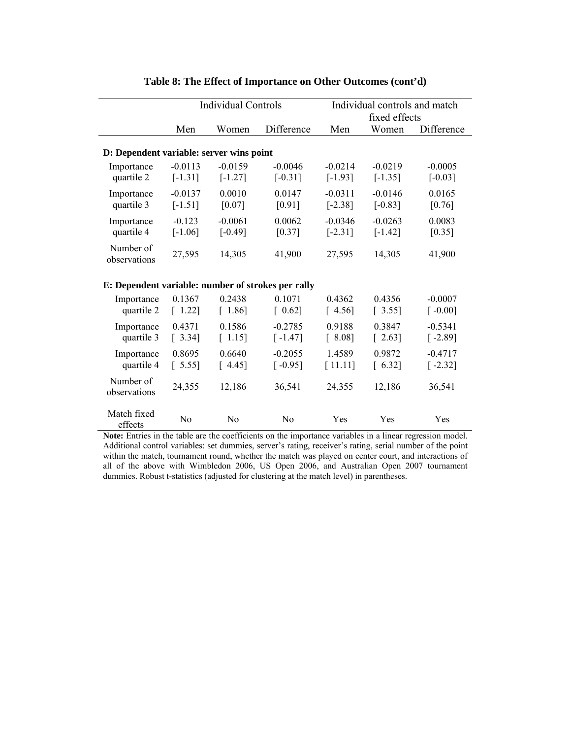|                                                    | <b>Individual Controls</b> |                                |                                | Individual controls and match |                                |                                    |  |
|----------------------------------------------------|----------------------------|--------------------------------|--------------------------------|-------------------------------|--------------------------------|------------------------------------|--|
|                                                    |                            |                                |                                |                               | fixed effects                  |                                    |  |
|                                                    | Men                        | Women                          | Difference                     | Men                           | Women                          | Difference                         |  |
| D: Dependent variable: server wins point           |                            |                                |                                |                               |                                |                                    |  |
| Importance<br>quartile 2                           | $-0.0113$<br>$[-1.31]$     | $-0.0159$<br>$[-1.27]$         | $-0.0046$<br>$[-0.31]$         | $-0.0214$<br>$[-1.93]$        | $-0.0219$<br>$[-1.35]$         | $-0.0005$<br>$[-0.03]$             |  |
| Importance<br>quartile 3                           | $-0.0137$<br>$[-1.51]$     | 0.0010<br>[0.07]               | 0.0147<br>[0.91]               | $-0.0311$<br>$[-2.38]$        | $-0.0146$<br>$[-0.83]$         | 0.0165<br>[0.76]                   |  |
| Importance<br>quartile 4                           | $-0.123$<br>$[-1.06]$      | $-0.0061$<br>$[-0.49]$         | 0.0062<br>[0.37]               | $-0.0346$<br>$[-2.31]$        | $-0.0263$<br>$[-1.42]$         | 0.0083<br>[0.35]                   |  |
| Number of<br>observations                          | 27,595                     | 14,305                         | 41,900                         | 27,595                        | 14,305                         | 41,900                             |  |
| E: Dependent variable: number of strokes per rally |                            |                                |                                |                               |                                |                                    |  |
| Importance<br>quartile 2                           | 0.1367<br>$[1.22]$         | 0.2438<br>[1.86]               | 0.1071<br>$\lceil 0.62 \rceil$ | 0.4362<br>[4.56]              | 0.4356<br>$[3.55]$             | $-0.0007$<br>$\lceil -0.00 \rceil$ |  |
| Importance<br>quartile 3                           | 0.4371<br>[3.34]           | 0.1586<br>$\lceil 1.15 \rceil$ | $-0.2785$<br>$[-1.47]$         | 0.9188<br>[8.08]              | 0.3847<br>$\lceil 2.63 \rceil$ | $-0.5341$<br>$[-2.89]$             |  |
| Importance<br>quartile 4                           | 0.8695<br>[5.55]           | 0.6640<br>[4.45]               | $-0.2055$<br>$[-0.95]$         | 1.4589<br>[11.11]             | 0.9872<br>$6.32$ ]             | $-0.4717$<br>$[-2.32]$             |  |
| Number of<br>observations                          | 24,355                     | 12,186                         | 36,541                         | 24,355                        | 12,186                         | 36,541                             |  |
| Match fixed<br>effects                             | N <sub>o</sub>             | No                             | N <sub>0</sub>                 | Yes                           | Yes                            | Yes                                |  |

#### **Table 8: The Effect of Importance on Other Outcomes (cont'd)**

Note: Entries in the table are the coefficients on the importance variables in a linear regression model. Additional control variables: set dummies, server's rating, receiver's rating, serial number of the point within the match, tournament round, whether the match was played on center court, and interactions of all of the above with Wimbledon 2006, US Open 2006, and Australian Open 2007 tournament dummies. Robust t-statistics (adjusted for clustering at the match level) in parentheses.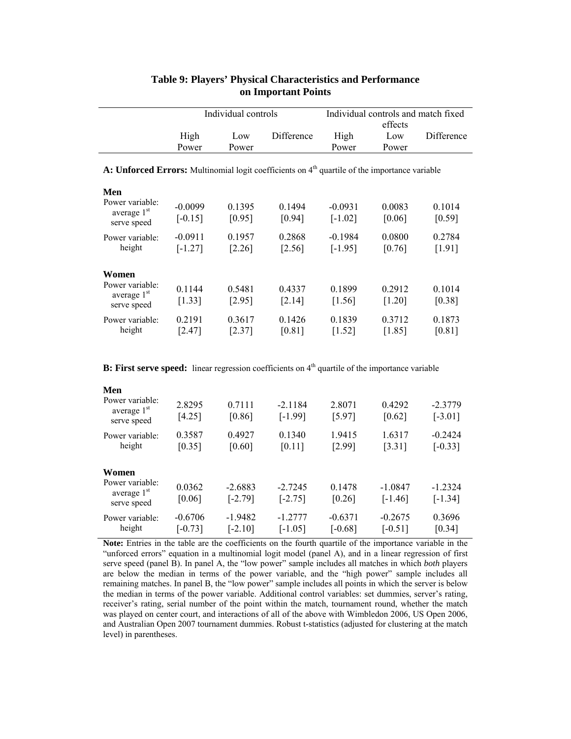|                                                                                                                          |       | Individual controls |            | Individual controls and match fixed<br>effects |                 |            |  |  |  |
|--------------------------------------------------------------------------------------------------------------------------|-------|---------------------|------------|------------------------------------------------|-----------------|------------|--|--|--|
|                                                                                                                          | High  | Low                 | Difference | High                                           | $_{\text{Low}}$ | Difference |  |  |  |
|                                                                                                                          | Power | Power               |            | Power                                          | Power           |            |  |  |  |
| $\Lambda$ • Unforced Frrors, Multinomial logit coefficients on $\Lambda^{\text{th}}$ quartile of the importance variable |       |                     |            |                                                |                 |            |  |  |  |

## **Table 9: Players' Physical Characteristics and Performance on Important Points**

**A: Unforced Errors:** Multinomial logit coefficients on 4<sup>th</sup> quartile of the importance variable

**Men**

| Men                                                    |                        |                    |                    |                        |                    |                    |
|--------------------------------------------------------|------------------------|--------------------|--------------------|------------------------|--------------------|--------------------|
| Power variable:<br>average $1st$<br>serve speed        | $-0.0099$<br>$[-0.15]$ | 0.1395<br>[0.95]   | 0.1494<br>[0.94]   | $-0.0931$<br>$[-1.02]$ | 0.0083<br>[0.06]   | 0.1014<br>$[0.59]$ |
| Power variable:<br>height                              | $-0.0911$<br>$[-1.27]$ | 0.1957<br>$[2.26]$ | 0.2868<br>$[2.56]$ | $-0.1984$<br>$[-1.95]$ | 0.0800<br>[0.76]   | 0.2784<br>[1.91]   |
| Women<br>Power variable:<br>average 1st<br>serve speed | 0.1144<br>[1.33]       | 0.5481<br>$[2.95]$ | 0.4337<br>[2.14]   | 0.1899<br>[1.56]       | 0.2912<br>$[1.20]$ | 0.1014<br>$[0.38]$ |
| Power variable:<br>height                              | 0.2191<br>$[2.47]$     | 0.3617<br>$[2.37]$ | 0.1426<br>[0.81]   | 0.1839<br>$[1.52]$     | 0.3712<br>[1.85]   | 0.1873<br>[0.81]   |

**B: First serve speed:** linear regression coefficients on 4<sup>th</sup> quartile of the importance variable

| Men<br>Power variable:<br>average 1 <sup>st</sup><br>serve speed   | 2.8295<br>$[4.25]$                                | 0.7111<br>[0.86]       | $-2.1184$<br>$[-1.99]$                              | 2.8071<br>[5.97]       | 0.4292<br>[0.62]       | $-2.3779$<br>$[-3.01]$ |
|--------------------------------------------------------------------|---------------------------------------------------|------------------------|-----------------------------------------------------|------------------------|------------------------|------------------------|
| Power variable:<br>height                                          | 0.3587<br>0.4927<br>$\left[0.35\right]$<br>[0.60] |                        | 0.1340<br>1.9415<br>$[2.99]$<br>$\left[0.11\right]$ |                        | 1.6317<br>[3.31]       | $-0.2424$<br>$[-0.33]$ |
| Women<br>Power variable:<br>average 1 <sup>st</sup><br>serve speed | 0.0362<br>[0.06]                                  | $-2.6883$<br>$[-2.79]$ | $-2.7245$<br>$[-2.75]$                              | 0.1478<br>[0.26]       | $-1.0847$<br>$[-1.46]$ | $-1.2324$<br>$[-1.34]$ |
| Power variable:<br>height                                          | $-0.6706$<br>$[-0.73]$                            | $-1.9482$<br>$[-2.10]$ | $-1.2777$<br>$[-1.05]$                              | $-0.6371$<br>$[-0.68]$ | $-0.2675$<br>$[-0.51]$ | 0.3696<br>[0.34]       |

**Note:** Entries in the table are the coefficients on the fourth quartile of the importance variable in the "unforced errors" equation in a multinomial logit model (panel A), and in a linear regression of first serve speed (panel B). In panel A, the "low power" sample includes all matches in which *both* players are below the median in terms of the power variable, and the "high power" sample includes all remaining matches. In panel B, the "low power" sample includes all points in which the server is below the median in terms of the power variable. Additional control variables: set dummies, server's rating, receiver's rating, serial number of the point within the match, tournament round, whether the match was played on center court, and interactions of all of the above with Wimbledon 2006, US Open 2006, and Australian Open 2007 tournament dummies. Robust t-statistics (adjusted for clustering at the match level) in parentheses.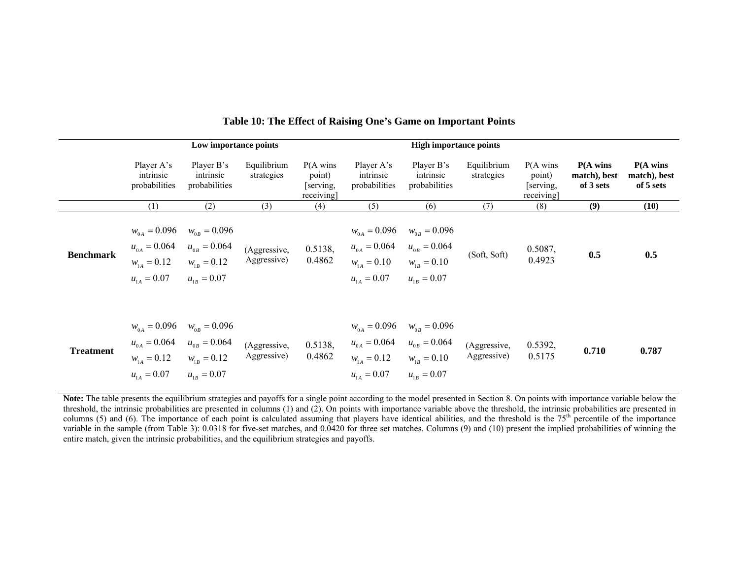|                  | Low importance points                                                                   |                                                      |                             | <b>High importance points</b>                            |                                                                                                              |                                                      |                             |                                                          |                                                  |                                                  |
|------------------|-----------------------------------------------------------------------------------------|------------------------------------------------------|-----------------------------|----------------------------------------------------------|--------------------------------------------------------------------------------------------------------------|------------------------------------------------------|-----------------------------|----------------------------------------------------------|--------------------------------------------------|--------------------------------------------------|
|                  | Player A's<br>intrinsic<br>probabilities                                                | Player B's<br>intrinsic<br>probabilities             | Equilibrium<br>strategies   | $P(A \text{ wins})$<br>point)<br>[serving,<br>receiving] | Player A's<br>intrinsic<br>probabilities                                                                     | Player B's<br>intrinsic<br>probabilities             | Equilibrium<br>strategies   | $P(A \text{ wins})$<br>point)<br>[serving,<br>receiving] | $P(A \text{ wins})$<br>match), best<br>of 3 sets | $P(A \text{ wins})$<br>match), best<br>of 5 sets |
|                  | (1)                                                                                     | (2)                                                  | (3)                         | (4)                                                      | (5)                                                                                                          | (6)                                                  | (7)                         | (8)                                                      | (9)                                              | (10)                                             |
| <b>Benchmark</b> | $u_{0A} = 0.064$ $u_{0B} = 0.064$<br>$w_{14} = 0.12$ $w_{18} = 0.12$<br>$u_{1A} = 0.07$ | $w_{0A} = 0.096$ $w_{0B} = 0.096$<br>$u_{1R} = 0.07$ | (Aggressive,<br>Aggressive) | 0.5138,<br>0.4862                                        | $u_{0A} = 0.064$ $u_{0B} = 0.064$<br>$w_{14} = 0.10$ $w_{18} = 0.10$<br>$u_{14} = 0.07$                      | $w_{0A} = 0.096$ $w_{0B} = 0.096$<br>$u_{1R} = 0.07$ | (Soft, Soft)                | 0.5087,<br>0.4923                                        | 0.5                                              | 0.5                                              |
| <b>Treatment</b> | $u_{0A} = 0.064$ $u_{0B} = 0.064$<br>$w_{1A} = 0.12$ $w_{1B} = 0.12$<br>$u_{1A} = 0.07$ | $w_{0A} = 0.096$ $w_{0B} = 0.096$<br>$u_{1B} = 0.07$ | (Aggressive,<br>Aggressive) | 0.5138,<br>0.4862                                        | $w_{0A} = 0.096$ $w_{0B} = 0.096$<br>$u_{0A} = 0.064$ $u_{0B} = 0.064$<br>$W_{14} = 0.12$<br>$u_{1A} = 0.07$ | $w_{1R} = 0.10$<br>$u_{1B} = 0.07$                   | (Aggressive,<br>Aggressive) | 0.5392,<br>0.5175                                        | 0.710                                            | 0.787                                            |

## **Table 10: The Effect of Raising One's Game on Important Points**

Note: The table presents the equilibrium strategies and payoffs for a single point according to the model presented in Section 8. On points with importance variable below the threshold, the intrinsic probabilities are presented in columns (1) and (2). On points with importance variable above the threshold, the intrinsic probabilities are presented in columns (5) and (6). The importance of each point is calculated assuming that players have identical abilities, and the threshold is the  $75<sup>th</sup>$  percentile of the importance variable in the sample (from Table 3): 0.0318 for five-set matches, and 0.0420 for three set matches. Columns (9) and (10) present the implied probabilities of winning the entire match, given the intrinsic probabilities, and the equilibrium strategies and payoffs.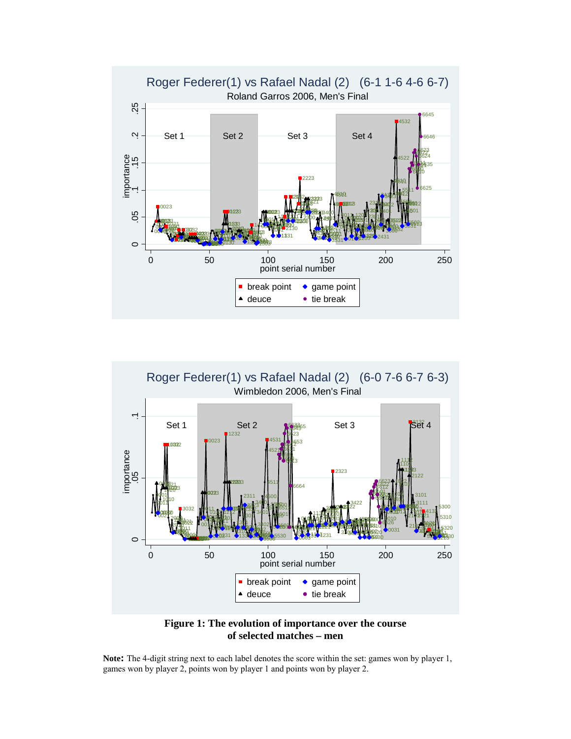



**Figure 1: The evolution of importance over the course of selected matches – men** 

**Note:** The 4-digit string next to each label denotes the score within the set: games won by player 1, games won by player 2, points won by player 1 and points won by player 2.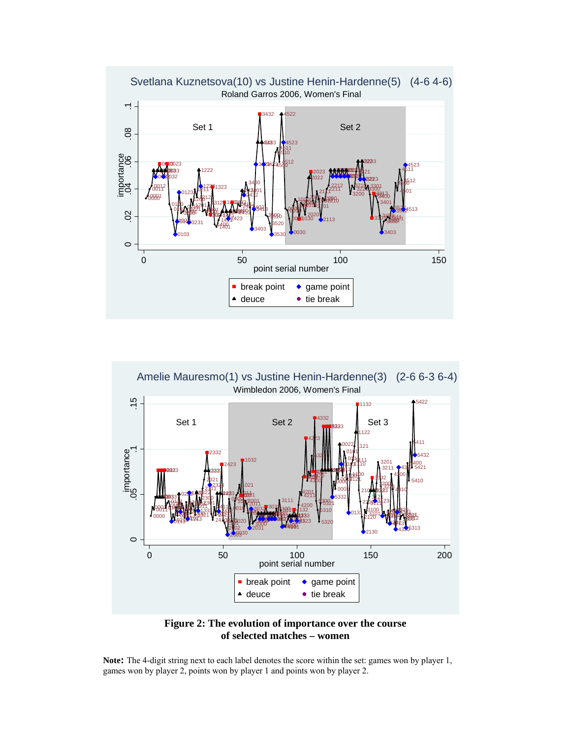





**Note:** The 4-digit string next to each label denotes the score within the set: games won by player 1, games won by player 2, points won by player 1 and points won by player 2.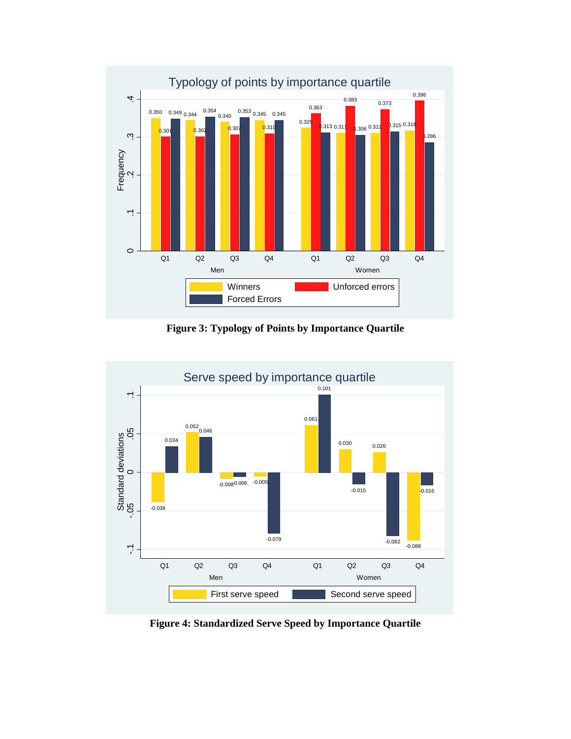

**Figure 3: Typology of Points by Importance Quartile**



**Figure 4: Standardized Serve Speed by Importance Quartile**